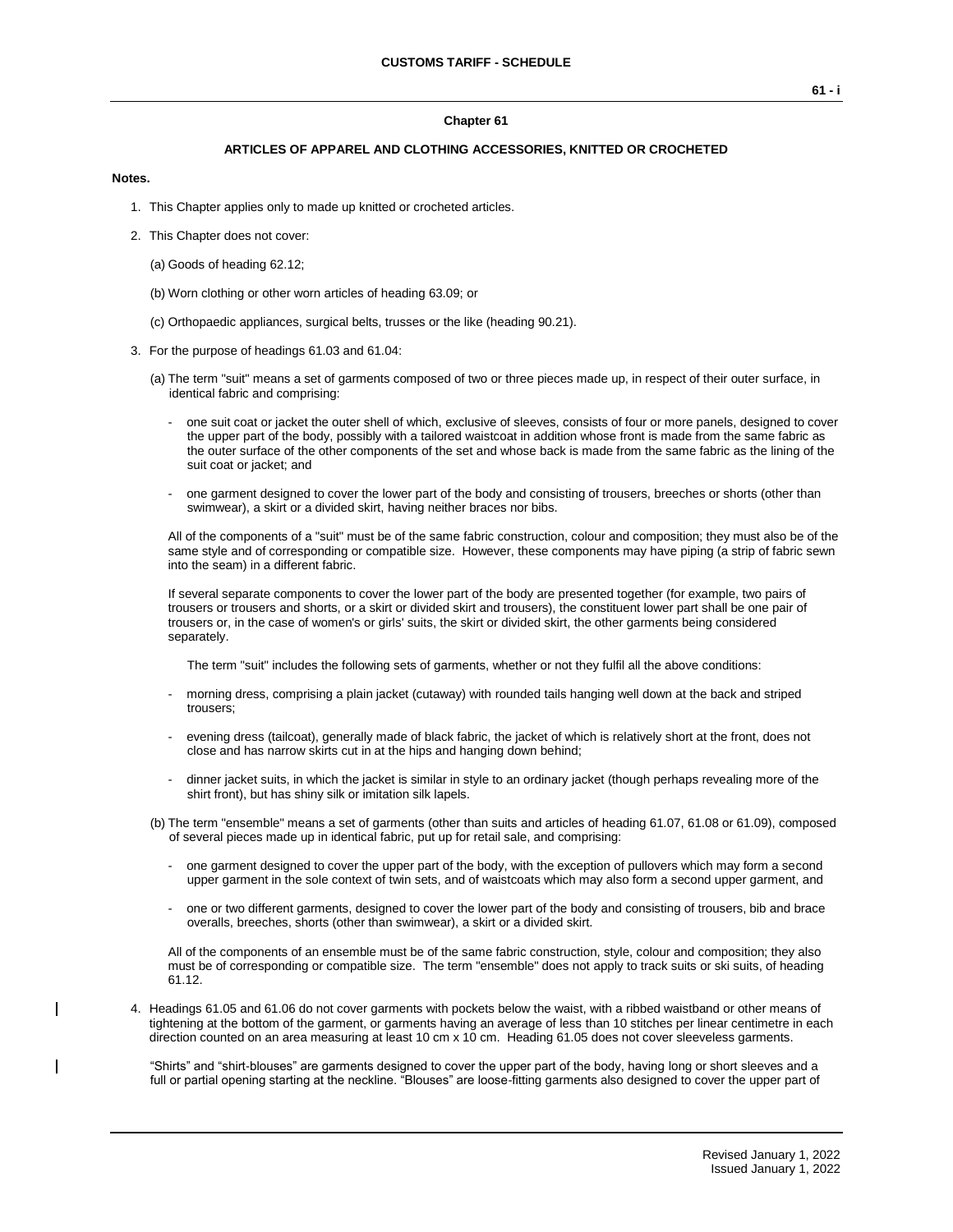#### **Chapter 61**

### **ARTICLES OF APPAREL AND CLOTHING ACCESSORIES, KNITTED OR CROCHETED**

#### **Notes.**

- 1. This Chapter applies only to made up knitted or crocheted articles.
- 2. This Chapter does not cover:
	- (a) Goods of heading 62.12;
	- (b) Worn clothing or other worn articles of heading 63.09; or
	- (c) Orthopaedic appliances, surgical belts, trusses or the like (heading 90.21).
- 3. For the purpose of headings 61.03 and 61.04:
	- (a) The term "suit" means a set of garments composed of two or three pieces made up, in respect of their outer surface, in identical fabric and comprising:
		- one suit coat or jacket the outer shell of which, exclusive of sleeves, consists of four or more panels, designed to cover the upper part of the body, possibly with a tailored waistcoat in addition whose front is made from the same fabric as the outer surface of the other components of the set and whose back is made from the same fabric as the lining of the suit coat or jacket; and
		- one garment designed to cover the lower part of the body and consisting of trousers, breeches or shorts (other than swimwear), a skirt or a divided skirt, having neither braces nor bibs.

All of the components of a "suit" must be of the same fabric construction, colour and composition; they must also be of the same style and of corresponding or compatible size. However, these components may have piping (a strip of fabric sewn into the seam) in a different fabric.

If several separate components to cover the lower part of the body are presented together (for example, two pairs of trousers or trousers and shorts, or a skirt or divided skirt and trousers), the constituent lower part shall be one pair of trousers or, in the case of women's or girls' suits, the skirt or divided skirt, the other garments being considered separately.

The term "suit" includes the following sets of garments, whether or not they fulfil all the above conditions:

- morning dress, comprising a plain jacket (cutaway) with rounded tails hanging well down at the back and striped trousers;
- evening dress (tailcoat), generally made of black fabric, the jacket of which is relatively short at the front, does not close and has narrow skirts cut in at the hips and hanging down behind;
- dinner jacket suits, in which the jacket is similar in style to an ordinary jacket (though perhaps revealing more of the shirt front), but has shiny silk or imitation silk lapels.

(b) The term "ensemble" means a set of garments (other than suits and articles of heading 61.07, 61.08 or 61.09), composed of several pieces made up in identical fabric, put up for retail sale, and comprising:

- one garment designed to cover the upper part of the body, with the exception of pullovers which may form a second upper garment in the sole context of twin sets, and of waistcoats which may also form a second upper garment, and
- one or two different garments, designed to cover the lower part of the body and consisting of trousers, bib and brace overalls, breeches, shorts (other than swimwear), a skirt or a divided skirt.

All of the components of an ensemble must be of the same fabric construction, style, colour and composition; they also must be of corresponding or compatible size. The term "ensemble" does not apply to track suits or ski suits, of heading 61.12.

4. Headings 61.05 and 61.06 do not cover garments with pockets below the waist, with a ribbed waistband or other means of tightening at the bottom of the garment, or garments having an average of less than 10 stitches per linear centimetre in each direction counted on an area measuring at least 10 cm x 10 cm. Heading 61.05 does not cover sleeveless garments.

"Shirts" and "shirt-blouses" are garments designed to cover the upper part of the body, having long or short sleeves and a full or partial opening starting at the neckline. "Blouses" are loose-fitting garments also designed to cover the upper part of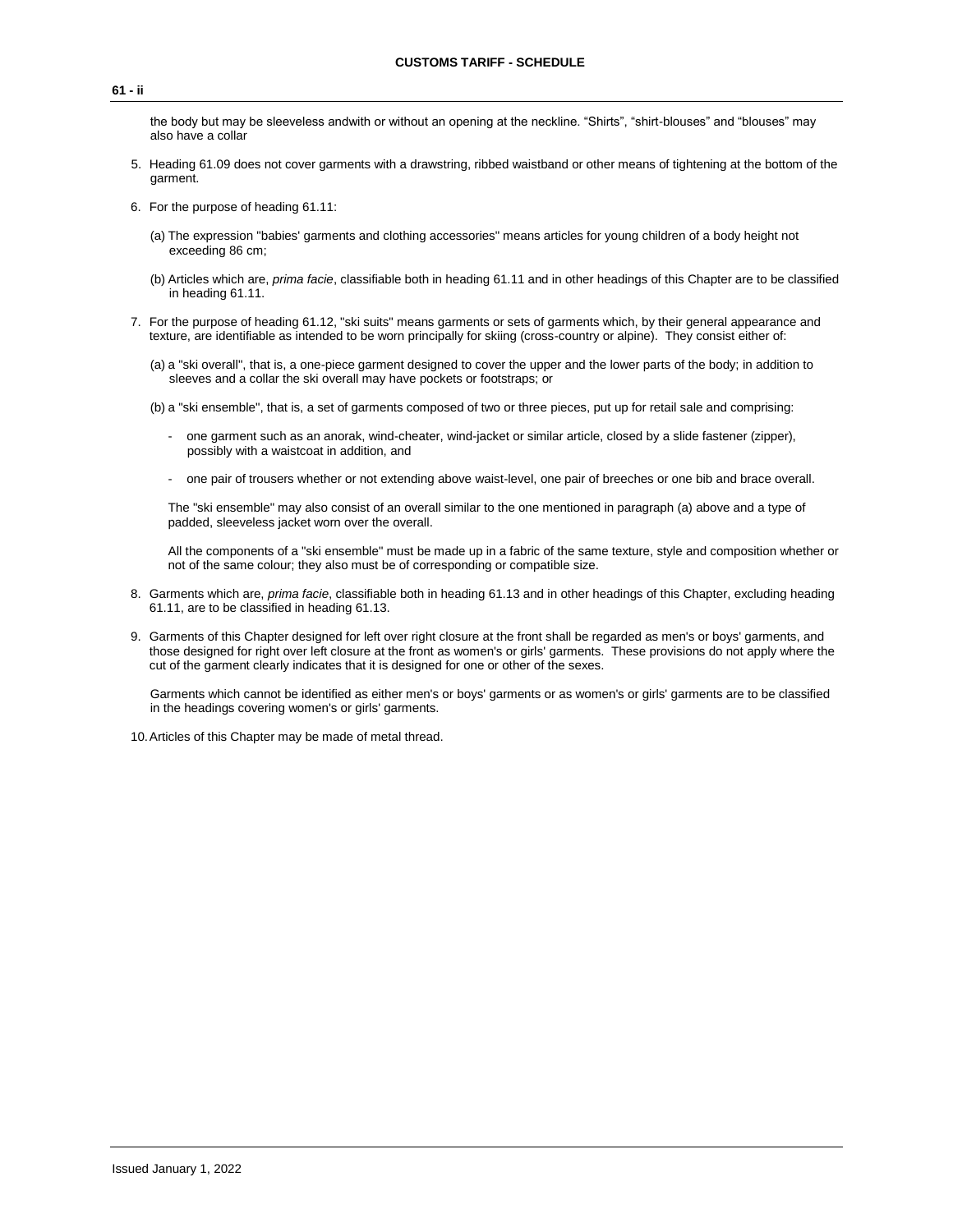the body but may be sleeveless andwith or without an opening at the neckline. "Shirts", "shirt-blouses" and "blouses" may also have a collar

- 5. Heading 61.09 does not cover garments with a drawstring, ribbed waistband or other means of tightening at the bottom of the garment.
- 6. For the purpose of heading 61.11:
	- (a) The expression "babies' garments and clothing accessories" means articles for young children of a body height not exceeding 86 cm;
	- (b) Articles which are, *prima facie*, classifiable both in heading 61.11 and in other headings of this Chapter are to be classified in heading 61.11.
- 7. For the purpose of heading 61.12, "ski suits" means garments or sets of garments which, by their general appearance and texture, are identifiable as intended to be worn principally for skiing (cross-country or alpine). They consist either of:
	- (a) a "ski overall", that is, a one-piece garment designed to cover the upper and the lower parts of the body; in addition to sleeves and a collar the ski overall may have pockets or footstraps; or
	- (b) a "ski ensemble", that is, a set of garments composed of two or three pieces, put up for retail sale and comprising:
		- one garment such as an anorak, wind-cheater, wind-jacket or similar article, closed by a slide fastener (zipper), possibly with a waistcoat in addition, and
		- one pair of trousers whether or not extending above waist-level, one pair of breeches or one bib and brace overall.

The "ski ensemble" may also consist of an overall similar to the one mentioned in paragraph (a) above and a type of padded, sleeveless jacket worn over the overall.

All the components of a "ski ensemble" must be made up in a fabric of the same texture, style and composition whether or not of the same colour; they also must be of corresponding or compatible size.

- 8. Garments which are, *prima facie*, classifiable both in heading 61.13 and in other headings of this Chapter, excluding heading 61.11, are to be classified in heading 61.13.
- 9. Garments of this Chapter designed for left over right closure at the front shall be regarded as men's or boys' garments, and those designed for right over left closure at the front as women's or girls' garments. These provisions do not apply where the cut of the garment clearly indicates that it is designed for one or other of the sexes.

Garments which cannot be identified as either men's or boys' garments or as women's or girls' garments are to be classified in the headings covering women's or girls' garments.

10.Articles of this Chapter may be made of metal thread.

**61 - ii**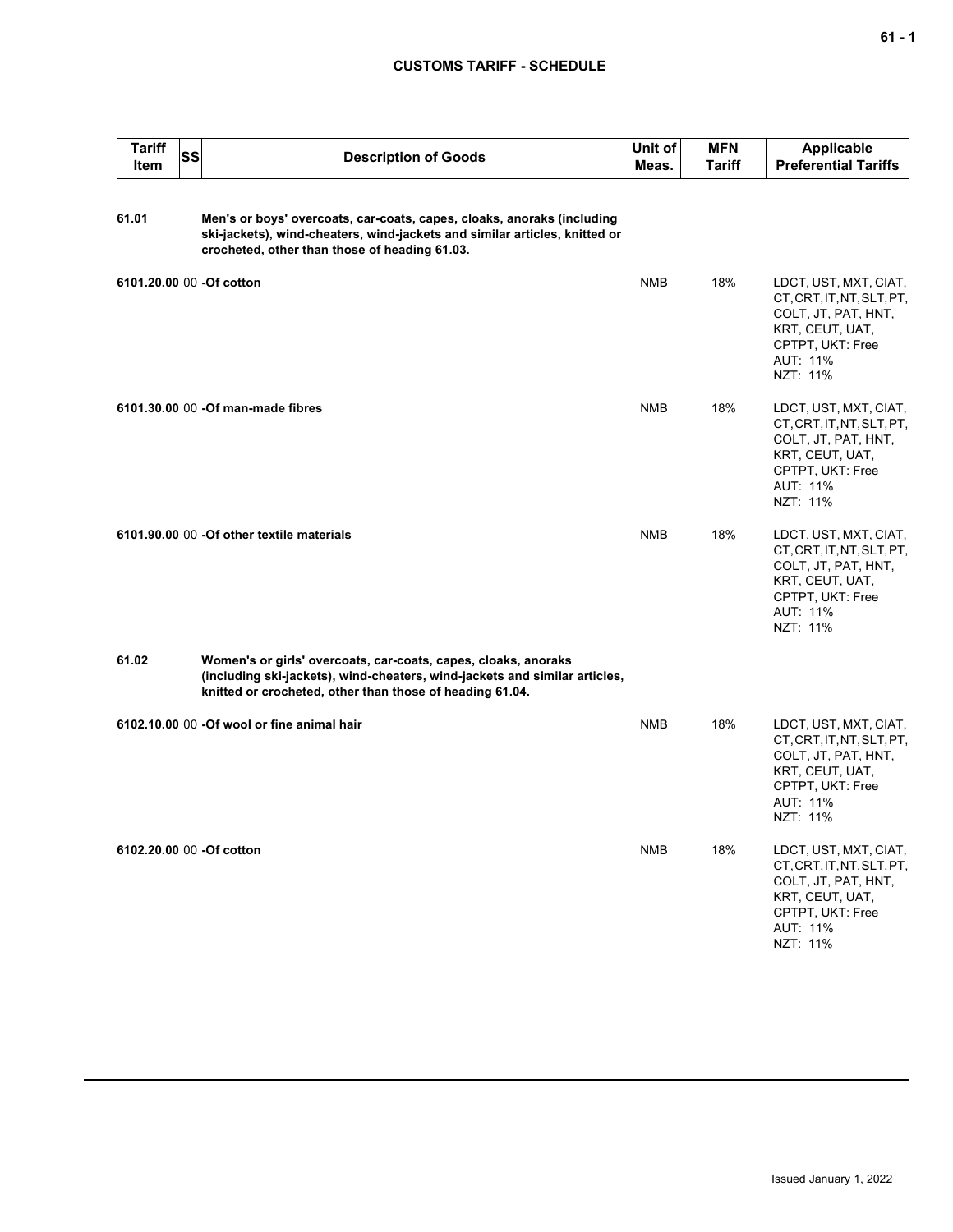| <b>Tariff</b><br>Item | <b>SS</b> | <b>Description of Goods</b>                                                                                                                                                                              | Unit of<br>Meas. | <b>MFN</b><br><b>Tariff</b> | Applicable<br><b>Preferential Tariffs</b>                                                                                                |
|-----------------------|-----------|----------------------------------------------------------------------------------------------------------------------------------------------------------------------------------------------------------|------------------|-----------------------------|------------------------------------------------------------------------------------------------------------------------------------------|
| 61.01                 |           | Men's or boys' overcoats, car-coats, capes, cloaks, anoraks (including<br>ski-jackets), wind-cheaters, wind-jackets and similar articles, knitted or<br>crocheted, other than those of heading 61.03.    |                  |                             |                                                                                                                                          |
|                       |           | 6101.20.00 00 -Of cotton                                                                                                                                                                                 | <b>NMB</b>       | 18%                         | LDCT, UST, MXT, CIAT,<br>CT.CRT.IT.NT.SLT.PT.<br>COLT, JT, PAT, HNT,<br>KRT, CEUT, UAT,<br>CPTPT, UKT: Free<br>AUT: 11%<br>NZT: 11%      |
|                       |           | 6101.30.00 00 - Of man-made fibres                                                                                                                                                                       | <b>NMB</b>       | 18%                         | LDCT, UST, MXT, CIAT,<br>CT, CRT, IT, NT, SLT, PT,<br>COLT, JT, PAT, HNT,<br>KRT, CEUT, UAT,<br>CPTPT, UKT: Free<br>AUT: 11%<br>NZT: 11% |
|                       |           | 6101.90.00 00 - Of other textile materials                                                                                                                                                               | <b>NMB</b>       | 18%                         | LDCT, UST, MXT, CIAT,<br>CT, CRT, IT, NT, SLT, PT,<br>COLT, JT, PAT, HNT,<br>KRT, CEUT, UAT,<br>CPTPT, UKT: Free<br>AUT: 11%<br>NZT: 11% |
| 61.02                 |           | Women's or girls' overcoats, car-coats, capes, cloaks, anoraks<br>(including ski-jackets), wind-cheaters, wind-jackets and similar articles,<br>knitted or crocheted, other than those of heading 61.04. |                  |                             |                                                                                                                                          |
|                       |           | 6102.10.00 00 -Of wool or fine animal hair                                                                                                                                                               | <b>NMB</b>       | 18%                         | LDCT, UST, MXT, CIAT,<br>CT, CRT, IT, NT, SLT, PT,<br>COLT, JT, PAT, HNT,<br>KRT, CEUT, UAT,<br>CPTPT, UKT: Free<br>AUT: 11%<br>NZT: 11% |
|                       |           | 6102.20.00 00 -Of cotton                                                                                                                                                                                 | <b>NMB</b>       | 18%                         | LDCT, UST, MXT, CIAT,<br>CT, CRT, IT, NT, SLT, PT,<br>COLT, JT, PAT, HNT,<br>KRT, CEUT, UAT,<br>CPTPT, UKT: Free<br>AUT: 11%<br>NZT: 11% |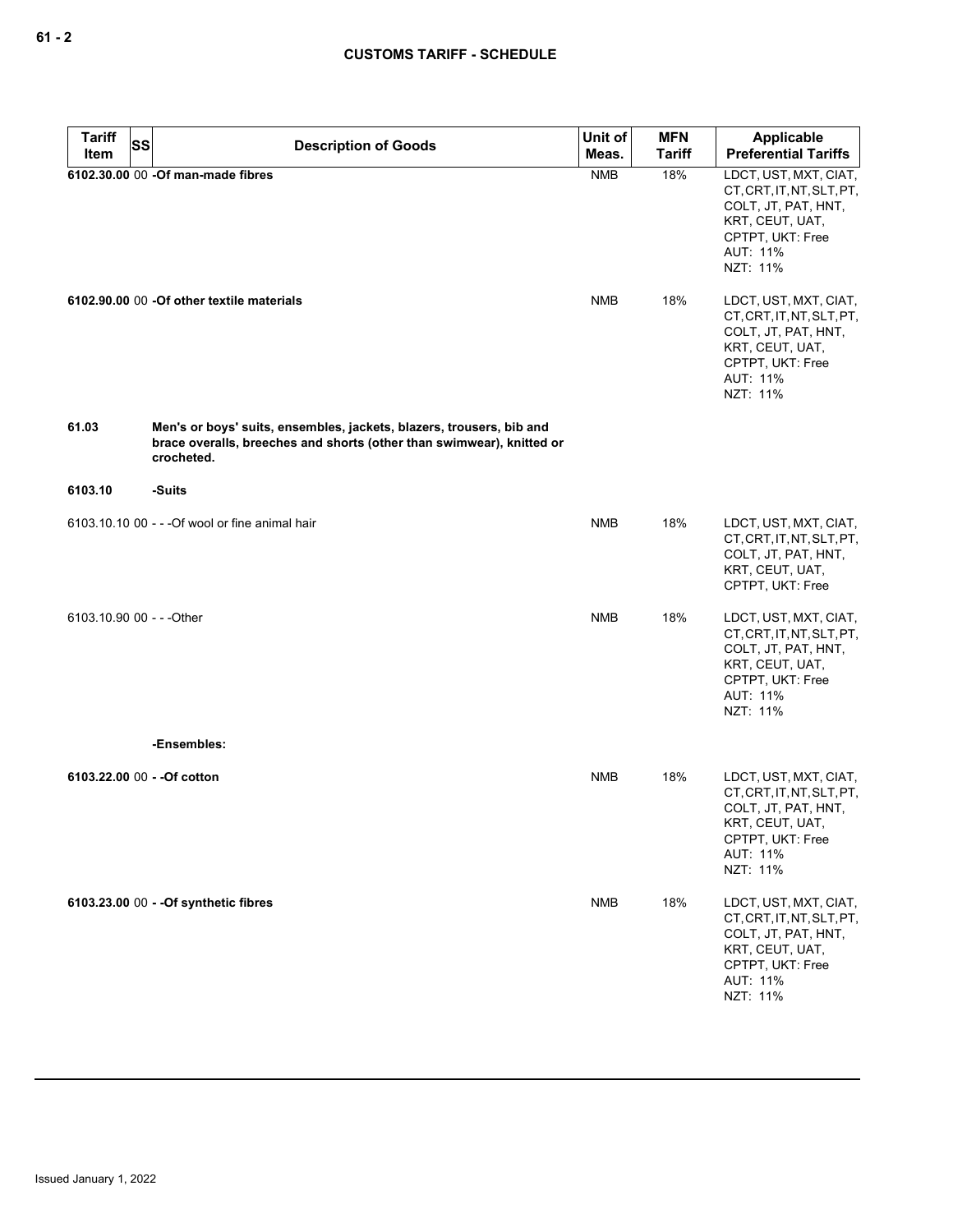| <b>Tariff</b><br><b>SS</b><br>Item | <b>Description of Goods</b>                                                                                                                                 | Unit of<br>Meas. | <b>MFN</b><br><b>Tariff</b> | <b>Applicable</b><br><b>Preferential Tariffs</b>                                                                                         |
|------------------------------------|-------------------------------------------------------------------------------------------------------------------------------------------------------------|------------------|-----------------------------|------------------------------------------------------------------------------------------------------------------------------------------|
|                                    | 6102.30.00 00 -Of man-made fibres                                                                                                                           | <b>NMB</b>       | 18%                         | LDCT, UST, MXT, CIAT,<br>CT, CRT, IT, NT, SLT, PT,<br>COLT, JT, PAT, HNT,<br>KRT, CEUT, UAT,<br>CPTPT, UKT: Free<br>AUT: 11%<br>NZT: 11% |
|                                    | 6102.90.00 00 - Of other textile materials                                                                                                                  | <b>NMB</b>       | 18%                         | LDCT, UST, MXT, CIAT,<br>CT, CRT, IT, NT, SLT, PT,<br>COLT, JT, PAT, HNT,<br>KRT, CEUT, UAT,<br>CPTPT, UKT: Free<br>AUT: 11%<br>NZT: 11% |
| 61.03                              | Men's or boys' suits, ensembles, jackets, blazers, trousers, bib and<br>brace overalls, breeches and shorts (other than swimwear), knitted or<br>crocheted. |                  |                             |                                                                                                                                          |
| 6103.10                            | -Suits                                                                                                                                                      |                  |                             |                                                                                                                                          |
|                                    | 6103.10.10 00 - - - Of wool or fine animal hair                                                                                                             | <b>NMB</b>       | 18%                         | LDCT, UST, MXT, CIAT,<br>CT, CRT, IT, NT, SLT, PT,<br>COLT, JT, PAT, HNT,<br>KRT, CEUT, UAT,<br>CPTPT, UKT: Free                         |
| 6103.10.90 00 - - - Other          |                                                                                                                                                             | <b>NMB</b>       | 18%                         | LDCT, UST, MXT, CIAT,<br>CT, CRT, IT, NT, SLT, PT,<br>COLT, JT, PAT, HNT,<br>KRT, CEUT, UAT,<br>CPTPT, UKT: Free<br>AUT: 11%<br>NZT: 11% |
|                                    | -Ensembles:                                                                                                                                                 |                  |                             |                                                                                                                                          |
| 6103.22.00 00 - - Of cotton        |                                                                                                                                                             | <b>NMB</b>       | 18%                         | LDCT, UST, MXT, CIAT,<br>CT, CRT, IT, NT, SLT, PT,<br>COLT, JT, PAT, HNT,<br>KRT, CEUT, UAT,<br>CPTPT, UKT: Free<br>AUT: 11%<br>NZT: 11% |
|                                    | 6103.23.00 00 - - Of synthetic fibres                                                                                                                       | <b>NMB</b>       | 18%                         | LDCT, UST, MXT, CIAT,<br>CT, CRT, IT, NT, SLT, PT,<br>COLT, JT, PAT, HNT,<br>KRT, CEUT, UAT,<br>CPTPT, UKT: Free<br>AUT: 11%<br>NZT: 11% |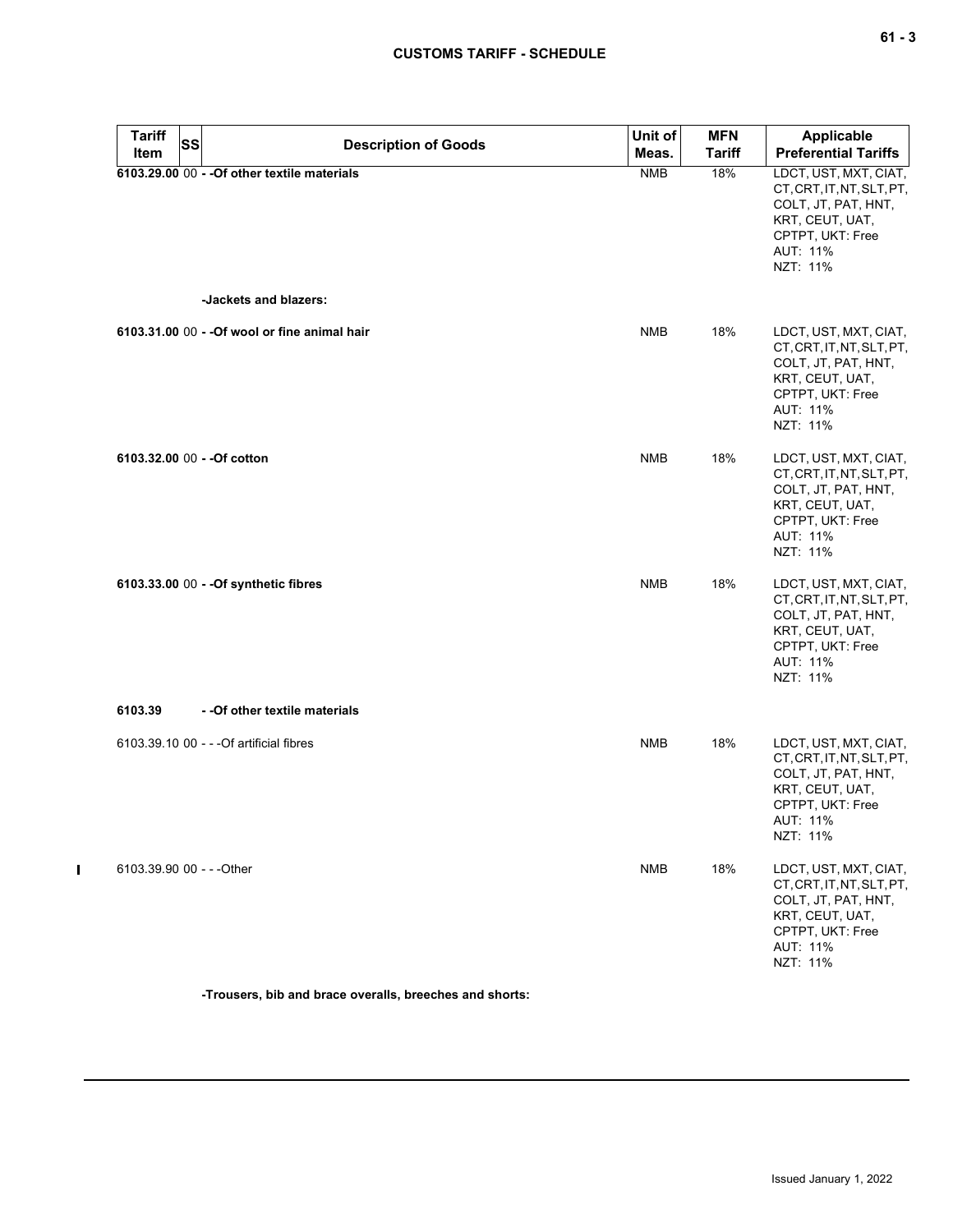| <b>Tariff</b><br><b>SS</b><br>Item | <b>Description of Goods</b>                   | Unit of<br>Meas. | <b>MFN</b><br><b>Tariff</b> | Applicable<br><b>Preferential Tariffs</b>                                                                                                |
|------------------------------------|-----------------------------------------------|------------------|-----------------------------|------------------------------------------------------------------------------------------------------------------------------------------|
|                                    | 6103.29.00 00 - - Of other textile materials  | <b>NMB</b>       | 18%                         | LDCT, UST, MXT, CIAT,<br>CT, CRT, IT, NT, SLT, PT,<br>COLT, JT, PAT, HNT,<br>KRT, CEUT, UAT,<br>CPTPT, UKT: Free<br>AUT: 11%<br>NZT: 11% |
|                                    | -Jackets and blazers:                         |                  |                             |                                                                                                                                          |
|                                    | 6103.31.00 00 - - Of wool or fine animal hair | <b>NMB</b>       | 18%                         | LDCT, UST, MXT, CIAT,<br>CT, CRT, IT, NT, SLT, PT,<br>COLT, JT, PAT, HNT,<br>KRT, CEUT, UAT,<br>CPTPT, UKT: Free<br>AUT: 11%<br>NZT: 11% |
| 6103.32.00 00 - - Of cotton        |                                               | <b>NMB</b>       | 18%                         | LDCT, UST, MXT, CIAT,<br>CT, CRT, IT, NT, SLT, PT,<br>COLT, JT, PAT, HNT,<br>KRT, CEUT, UAT,<br>CPTPT, UKT: Free<br>AUT: 11%<br>NZT: 11% |
|                                    | 6103.33.00 00 - - Of synthetic fibres         | <b>NMB</b>       | 18%                         | LDCT, UST, MXT, CIAT,<br>CT, CRT, IT, NT, SLT, PT,<br>COLT, JT, PAT, HNT,<br>KRT, CEUT, UAT,<br>CPTPT, UKT: Free<br>AUT: 11%<br>NZT: 11% |
| 6103.39                            | - - Of other textile materials                |                  |                             |                                                                                                                                          |
|                                    | 6103.39.10 00 - - - Of artificial fibres      | <b>NMB</b>       | 18%                         | LDCT, UST, MXT, CIAT,<br>CT, CRT, IT, NT, SLT, PT,<br>COLT, JT, PAT, HNT,<br>KRT, CEUT, UAT,<br>CPTPT, UKT: Free<br>AUT: 11%<br>NZT: 11% |
| 6103.39.90 00 - - - Other          |                                               | <b>NMB</b>       | 18%                         | LDCT, UST, MXT, CIAT,<br>CT, CRT, IT, NT, SLT, PT,<br>COLT, JT, PAT, HNT,<br>KRT, CEUT, UAT,<br>CPTPT, UKT: Free<br>AUT: 11%<br>NZT: 11% |

**-Trousers, bib and brace overalls, breeches and shorts:**

 $\mathbf I$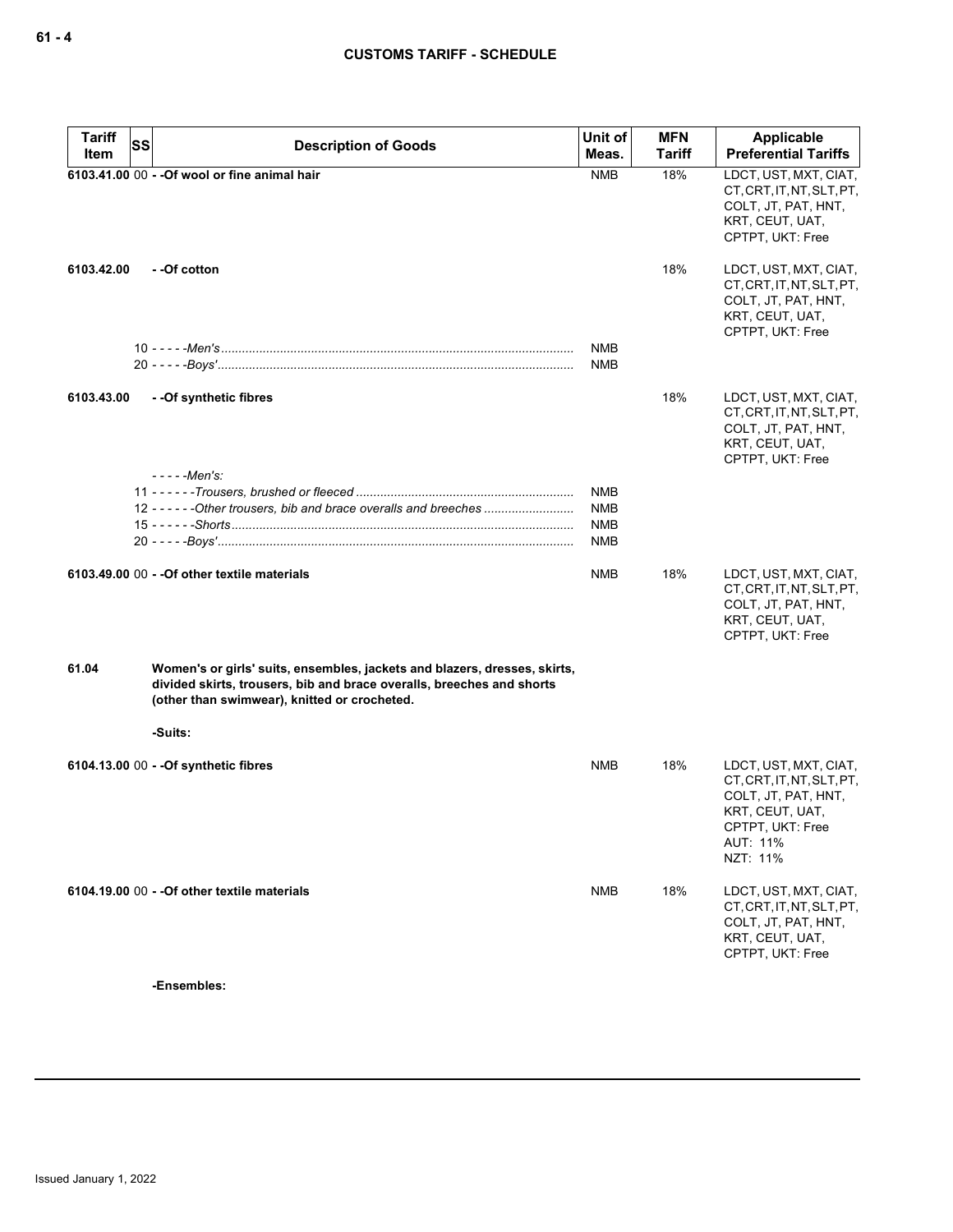| <b>Tariff</b><br>Item | SS | <b>Description of Goods</b>                                                                                                                                                                        | Unit of<br>Meas.                       | MFN<br>Tariff | <b>Applicable</b><br><b>Preferential Tariffs</b>                                                                                         |
|-----------------------|----|----------------------------------------------------------------------------------------------------------------------------------------------------------------------------------------------------|----------------------------------------|---------------|------------------------------------------------------------------------------------------------------------------------------------------|
|                       |    | 6103.41.00 00 - - Of wool or fine animal hair                                                                                                                                                      | <b>NMB</b>                             | 18%           | LDCT, UST, MXT, CIAT,<br>CT, CRT, IT, NT, SLT, PT,<br>COLT, JT, PAT, HNT,<br>KRT, CEUT, UAT,<br>CPTPT, UKT: Free                         |
| 6103.42.00            |    | - -Of cotton                                                                                                                                                                                       |                                        | 18%           | LDCT, UST, MXT, CIAT,<br>CT, CRT, IT, NT, SLT, PT,<br>COLT, JT, PAT, HNT,<br>KRT, CEUT, UAT,<br>CPTPT, UKT: Free                         |
|                       |    |                                                                                                                                                                                                    | <b>NMB</b><br><b>NMB</b>               |               |                                                                                                                                          |
| 6103.43.00            |    | - - Of synthetic fibres                                                                                                                                                                            |                                        | 18%           | LDCT, UST, MXT, CIAT,<br>CT, CRT, IT, NT, SLT, PT,<br>COLT, JT, PAT, HNT,<br>KRT, CEUT, UAT,<br>CPTPT, UKT: Free                         |
|                       |    | $---$ Men's:                                                                                                                                                                                       | <b>NMB</b>                             |               |                                                                                                                                          |
|                       |    | 12 - - - - - - Other trousers, bib and brace overalls and breeches                                                                                                                                 | <b>NMB</b><br><b>NMB</b><br><b>NMB</b> |               |                                                                                                                                          |
|                       |    | 6103.49.00 00 - - Of other textile materials                                                                                                                                                       | <b>NMB</b>                             | 18%           | LDCT, UST, MXT, CIAT,<br>CT, CRT, IT, NT, SLT, PT,<br>COLT, JT, PAT, HNT,<br>KRT, CEUT, UAT,<br>CPTPT, UKT: Free                         |
| 61.04                 |    | Women's or girls' suits, ensembles, jackets and blazers, dresses, skirts,<br>divided skirts, trousers, bib and brace overalls, breeches and shorts<br>(other than swimwear), knitted or crocheted. |                                        |               |                                                                                                                                          |
|                       |    | -Suits:                                                                                                                                                                                            |                                        |               |                                                                                                                                          |
|                       |    | 6104.13.00 00 - - Of synthetic fibres                                                                                                                                                              | <b>NMB</b>                             | 18%           | LDCT, UST, MXT, CIAT,<br>CT, CRT, IT, NT, SLT, PT,<br>COLT, JT, PAT, HNT,<br>KRT, CEUT, UAT,<br>CPTPT, UKT: Free<br>AUT: 11%<br>NZT: 11% |
|                       |    | 6104.19.00 00 - - Of other textile materials                                                                                                                                                       | NMB                                    | 18%           | LDCT, UST, MXT, CIAT,<br>CT, CRT, IT, NT, SLT, PT,<br>COLT, JT, PAT, HNT,<br>KRT, CEUT, UAT,<br>CPTPT, UKT: Free                         |

**-Ensembles:**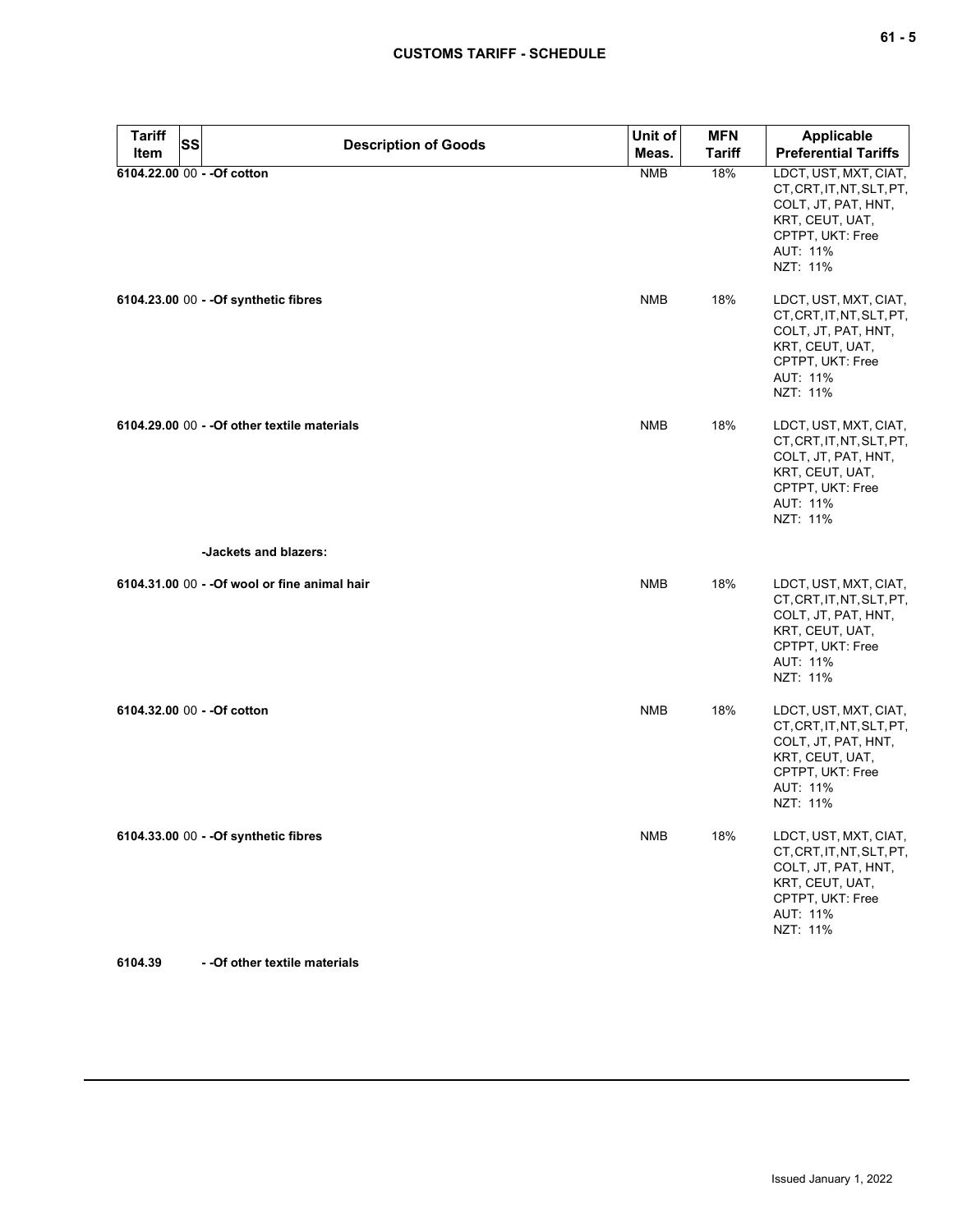| <b>Tariff</b><br><b>Item</b> | <b>SS</b> | <b>Description of Goods</b>                   | Unit of<br>Meas. | <b>MFN</b><br><b>Tariff</b> | <b>Applicable</b><br><b>Preferential Tariffs</b>                                                                                         |
|------------------------------|-----------|-----------------------------------------------|------------------|-----------------------------|------------------------------------------------------------------------------------------------------------------------------------------|
|                              |           | 6104.22.00 00 - - Of cotton                   | <b>NMB</b>       | 18%                         | LDCT, UST, MXT, CIAT,<br>CT, CRT, IT, NT, SLT, PT,<br>COLT, JT, PAT, HNT,<br>KRT, CEUT, UAT,<br>CPTPT, UKT: Free<br>AUT: 11%<br>NZT: 11% |
|                              |           | 6104.23.00 00 - - Of synthetic fibres         | <b>NMB</b>       | 18%                         | LDCT, UST, MXT, CIAT,<br>CT, CRT, IT, NT, SLT, PT,<br>COLT, JT, PAT, HNT,<br>KRT, CEUT, UAT,<br>CPTPT, UKT: Free<br>AUT: 11%<br>NZT: 11% |
|                              |           | 6104.29.00 00 - - Of other textile materials  | <b>NMB</b>       | 18%                         | LDCT, UST, MXT, CIAT,<br>CT, CRT, IT, NT, SLT, PT,<br>COLT, JT, PAT, HNT,<br>KRT, CEUT, UAT,<br>CPTPT, UKT: Free<br>AUT: 11%<br>NZT: 11% |
|                              |           | -Jackets and blazers:                         |                  |                             |                                                                                                                                          |
|                              |           | 6104.31.00 00 - - Of wool or fine animal hair | <b>NMB</b>       | 18%                         | LDCT, UST, MXT, CIAT,<br>CT, CRT, IT, NT, SLT, PT,<br>COLT, JT, PAT, HNT,<br>KRT, CEUT, UAT,<br>CPTPT, UKT: Free<br>AUT: 11%<br>NZT: 11% |
|                              |           | 6104.32.00 00 - - Of cotton                   | <b>NMB</b>       | 18%                         | LDCT, UST, MXT, CIAT,<br>CT, CRT, IT, NT, SLT, PT,<br>COLT, JT, PAT, HNT,<br>KRT, CEUT, UAT,<br>CPTPT, UKT: Free<br>AUT: 11%<br>NZT: 11% |
|                              |           | 6104.33.00 00 - - Of synthetic fibres         | <b>NMB</b>       | 18%                         | LDCT, UST, MXT, CIAT,<br>CT, CRT, IT, NT, SLT, PT,<br>COLT, JT, PAT, HNT,<br>KRT, CEUT, UAT,<br>CPTPT, UKT: Free<br>AUT: 11%<br>NZT: 11% |
| 6104.39                      |           | - - Of other textile materials                |                  |                             |                                                                                                                                          |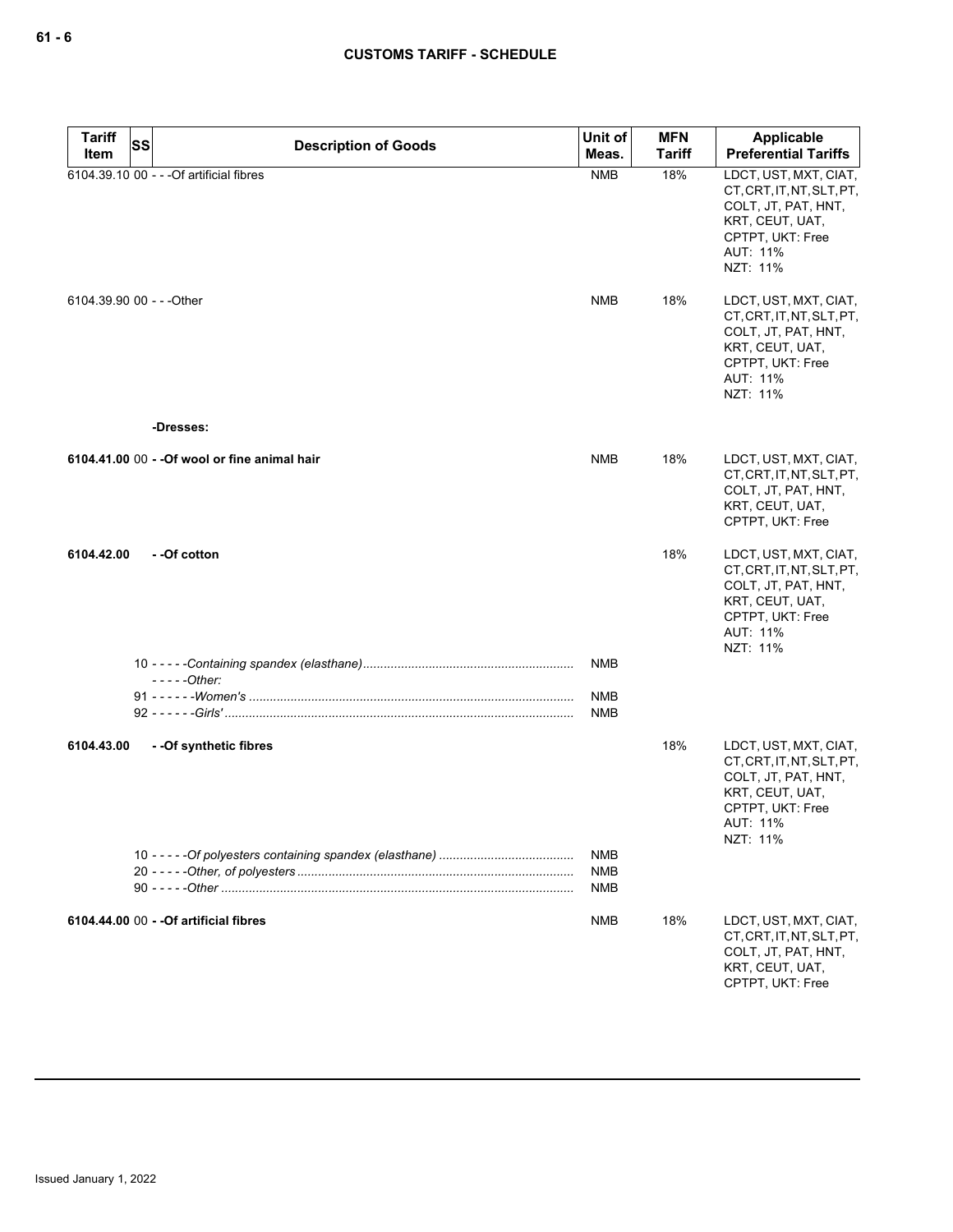| <b>Tariff</b><br>SS       |                                               | Unit of                                | <b>MFN</b>    | Applicable                                                                                                                               |
|---------------------------|-----------------------------------------------|----------------------------------------|---------------|------------------------------------------------------------------------------------------------------------------------------------------|
| Item                      | <b>Description of Goods</b>                   | Meas.                                  | <b>Tariff</b> | <b>Preferential Tariffs</b>                                                                                                              |
|                           | 6104.39.10 00 - - - Of artificial fibres      | <b>NMB</b>                             | 18%           | LDCT, UST, MXT, CIAT,<br>CT, CRT, IT, NT, SLT, PT,<br>COLT, JT, PAT, HNT,<br>KRT, CEUT, UAT,<br>CPTPT, UKT: Free<br>AUT: 11%<br>NZT: 11% |
| 6104.39.90 00 - - - Other |                                               | <b>NMB</b>                             | 18%           | LDCT, UST, MXT, CIAT,<br>CT, CRT, IT, NT, SLT, PT,<br>COLT, JT, PAT, HNT,<br>KRT, CEUT, UAT,<br>CPTPT, UKT: Free<br>AUT: 11%<br>NZT: 11% |
|                           | -Dresses:                                     |                                        |               |                                                                                                                                          |
|                           | 6104.41.00 00 - - Of wool or fine animal hair | <b>NMB</b>                             | 18%           | LDCT, UST, MXT, CIAT,<br>CT, CRT, IT, NT, SLT, PT,<br>COLT, JT, PAT, HNT,<br>KRT, CEUT, UAT,<br>CPTPT, UKT: Free                         |
| 6104.42.00                | --Of cotton                                   |                                        | 18%           | LDCT, UST, MXT, CIAT,<br>CT, CRT, IT, NT, SLT, PT,<br>COLT, JT, PAT, HNT,<br>KRT, CEUT, UAT,<br>CPTPT, UKT: Free<br>AUT: 11%<br>NZT: 11% |
|                           |                                               | <b>NMB</b>                             |               |                                                                                                                                          |
|                           | $---Other:$                                   | <b>NMB</b>                             |               |                                                                                                                                          |
|                           |                                               | <b>NMB</b>                             |               |                                                                                                                                          |
| 6104.43.00                | - - Of synthetic fibres                       |                                        | 18%           | LDCT, UST, MXT, CIAT,<br>CT, CRT, IT, NT, SLT, PT,<br>COLT, JT, PAT, HNT,<br>KRT, CEUT, UAT,<br>CPTPT, UKT: Free<br>AUT: 11%<br>NZT: 11% |
|                           |                                               | <b>NMB</b><br><b>NMB</b><br><b>NMB</b> |               |                                                                                                                                          |
|                           | 6104.44.00 00 - - Of artificial fibres        | NMB                                    | 18%           | LDCT, UST, MXT, CIAT,<br>CT, CRT, IT, NT, SLT, PT,<br>COLT, JT, PAT, HNT,<br>KRT, CEUT, UAT,<br>CPTPT, UKT: Free                         |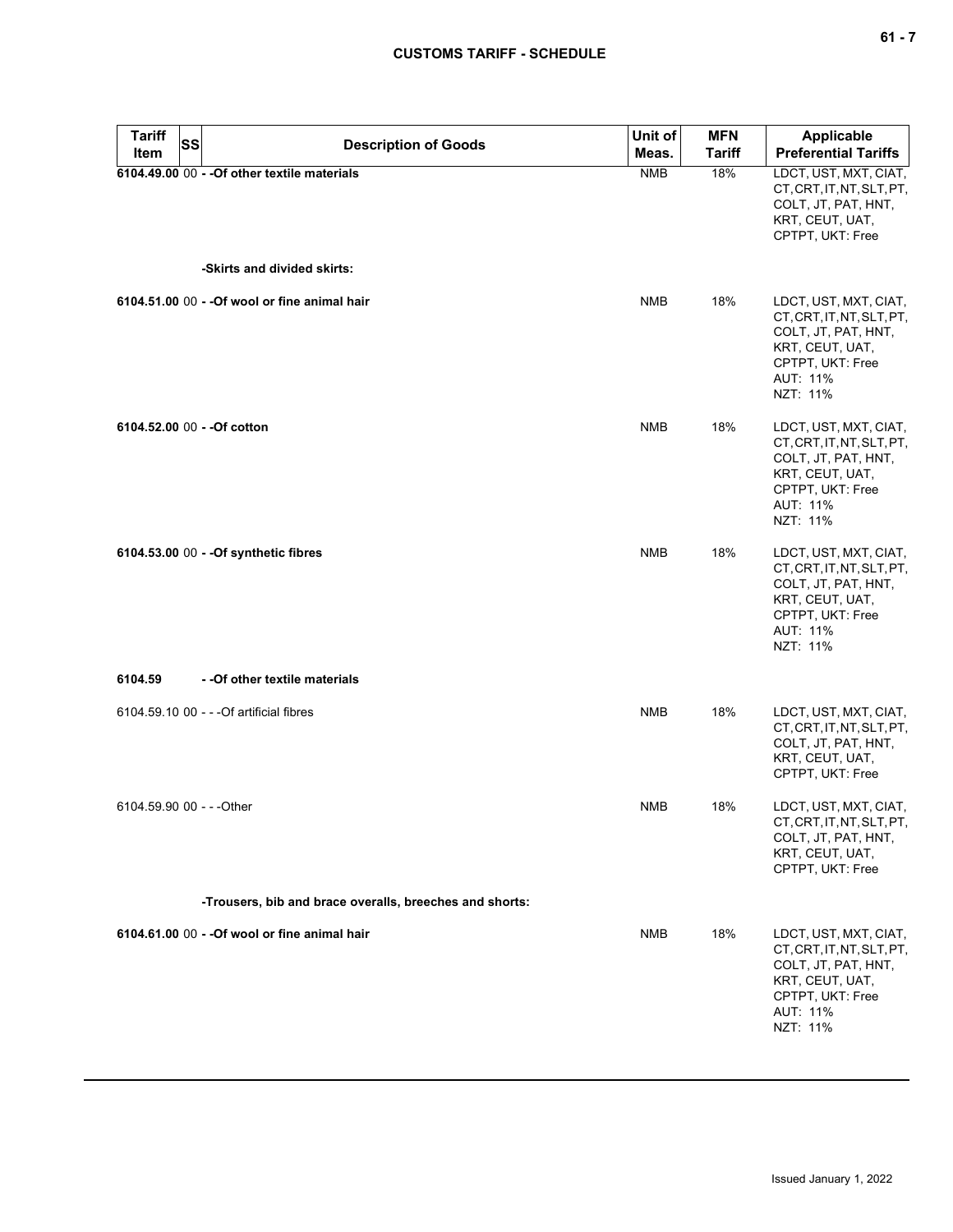| <b>Tariff</b><br>SS<br>Item | <b>Description of Goods</b>                             | Unit of<br>Meas. | <b>MFN</b><br><b>Tariff</b> | Applicable<br><b>Preferential Tariffs</b>                                                                                                |
|-----------------------------|---------------------------------------------------------|------------------|-----------------------------|------------------------------------------------------------------------------------------------------------------------------------------|
|                             | 6104.49.00 00 - - Of other textile materials            | <b>NMB</b>       | 18%                         | LDCT, UST, MXT, CIAT,<br>CT, CRT, IT, NT, SLT, PT,<br>COLT, JT, PAT, HNT,<br>KRT, CEUT, UAT,<br>CPTPT, UKT: Free                         |
|                             | -Skirts and divided skirts:                             |                  |                             |                                                                                                                                          |
|                             | 6104.51.00 00 - - Of wool or fine animal hair           | <b>NMB</b>       | 18%                         | LDCT, UST, MXT, CIAT,<br>CT, CRT, IT, NT, SLT, PT,<br>COLT, JT, PAT, HNT,<br>KRT, CEUT, UAT,<br>CPTPT, UKT: Free<br>AUT: 11%<br>NZT: 11% |
| 6104.52.00 00 - - Of cotton |                                                         | <b>NMB</b>       | 18%                         | LDCT, UST, MXT, CIAT,<br>CT, CRT, IT, NT, SLT, PT,<br>COLT, JT, PAT, HNT,<br>KRT, CEUT, UAT,<br>CPTPT, UKT: Free<br>AUT: 11%<br>NZT: 11% |
|                             | 6104.53.00 00 - - Of synthetic fibres                   | <b>NMB</b>       | 18%                         | LDCT, UST, MXT, CIAT,<br>CT, CRT, IT, NT, SLT, PT,<br>COLT, JT, PAT, HNT,<br>KRT, CEUT, UAT,<br>CPTPT, UKT: Free<br>AUT: 11%<br>NZT: 11% |
| 6104.59                     | - - Of other textile materials                          |                  |                             |                                                                                                                                          |
|                             | 6104.59.10 00 - - - Of artificial fibres                | <b>NMB</b>       | 18%                         | LDCT, UST, MXT, CIAT,<br>CT, CRT, IT, NT, SLT, PT,<br>COLT, JT, PAT, HNT,<br>KRT, CEUT, UAT,<br>CPTPT, UKT: Free                         |
| 6104.59.90 00 - - - Other   |                                                         | NMB              | 18%                         | LDCT, UST, MXT, CIAT,<br>CI, CRI, II, NI, SLI, PI,<br>COLT, JT, PAT, HNT,<br>KRT, CEUT, UAT,<br>CPTPT, UKT: Free                         |
|                             | -Trousers, bib and brace overalls, breeches and shorts: |                  |                             |                                                                                                                                          |
|                             | 6104.61.00 00 - - Of wool or fine animal hair           | <b>NMB</b>       | 18%                         | LDCT, UST, MXT, CIAT,<br>CT, CRT, IT, NT, SLT, PT,<br>COLT, JT, PAT, HNT,<br>KRT, CEUT, UAT,<br>CPTPT, UKT: Free<br>AUT: 11%<br>NZT: 11% |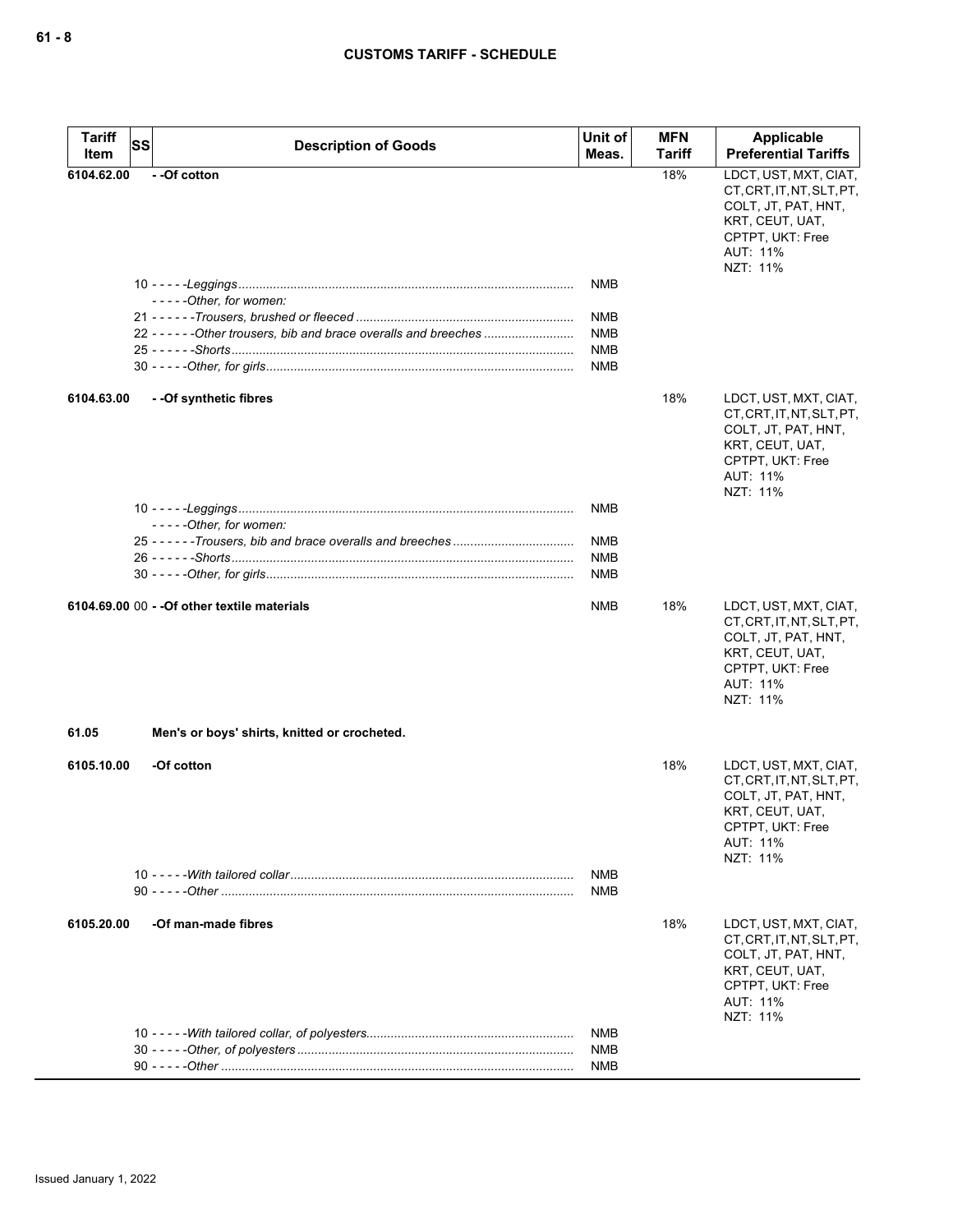| <b>Tariff</b><br>Item | SS | <b>Description of Goods</b>                                                                                      | Unit of<br>Meas.                       | <b>MFN</b><br><b>Tariff</b> | Applicable<br><b>Preferential Tariffs</b>                                                                                                |
|-----------------------|----|------------------------------------------------------------------------------------------------------------------|----------------------------------------|-----------------------------|------------------------------------------------------------------------------------------------------------------------------------------|
| 6104.62.00            |    | --Of cotton<br>- - - - - Other, for women:<br>22 - - - - - - Other trousers, bib and brace overalls and breeches | <b>NMB</b><br><b>NMB</b><br><b>NMB</b> | 18%                         | LDCT, UST, MXT, CIAT,<br>CT, CRT, IT, NT, SLT, PT,<br>COLT, JT, PAT, HNT,<br>KRT, CEUT, UAT,<br>CPTPT, UKT: Free<br>AUT: 11%<br>NZT: 11% |
|                       |    |                                                                                                                  | <b>NMB</b><br><b>NMB</b>               |                             |                                                                                                                                          |
| 6104.63.00            |    | - - Of synthetic fibres                                                                                          |                                        | 18%                         | LDCT, UST, MXT, CIAT,<br>CT, CRT, IT, NT, SLT, PT,<br>COLT, JT, PAT, HNT,<br>KRT, CEUT, UAT,<br>CPTPT, UKT: Free<br>AUT: 11%<br>NZT: 11% |
|                       |    | -----Other, for women:                                                                                           | <b>NMB</b>                             |                             |                                                                                                                                          |
|                       |    |                                                                                                                  | <b>NMB</b><br><b>NMB</b><br><b>NMB</b> |                             |                                                                                                                                          |
|                       |    | 6104.69.00 00 - - Of other textile materials                                                                     | <b>NMB</b>                             | 18%                         | LDCT, UST, MXT, CIAT,<br>CT, CRT, IT, NT, SLT, PT,<br>COLT, JT, PAT, HNT,<br>KRT, CEUT, UAT,<br>CPTPT, UKT: Free<br>AUT: 11%<br>NZT: 11% |
| 61.05                 |    | Men's or boys' shirts, knitted or crocheted.                                                                     |                                        |                             |                                                                                                                                          |
| 6105.10.00            |    | -Of cotton                                                                                                       |                                        | 18%                         | LDCT, UST, MXT, CIAT,<br>CT, CRT, IT, NT, SLT, PT,<br>COLT, JT, PAT, HNT,<br>KRT, CEUT, UAT,<br>CPTPT, UKT: Free<br>AUT: 11%<br>NZT: 11% |
|                       |    |                                                                                                                  | <b>NMB</b><br><b>NMB</b>               |                             |                                                                                                                                          |
| 6105.20.00            |    | -Of man-made fibres                                                                                              |                                        | 18%                         | LDCT, UST, MXT, CIAT,<br>CT.CRT.IT.NT.SLT.PT.<br>COLT, JT, PAT, HNT,<br>KRT, CEUT, UAT,<br>CPTPT, UKT: Free<br>AUT: 11%<br>NZT: 11%      |
|                       |    |                                                                                                                  | <b>NMB</b><br><b>NMB</b><br><b>NMB</b> |                             |                                                                                                                                          |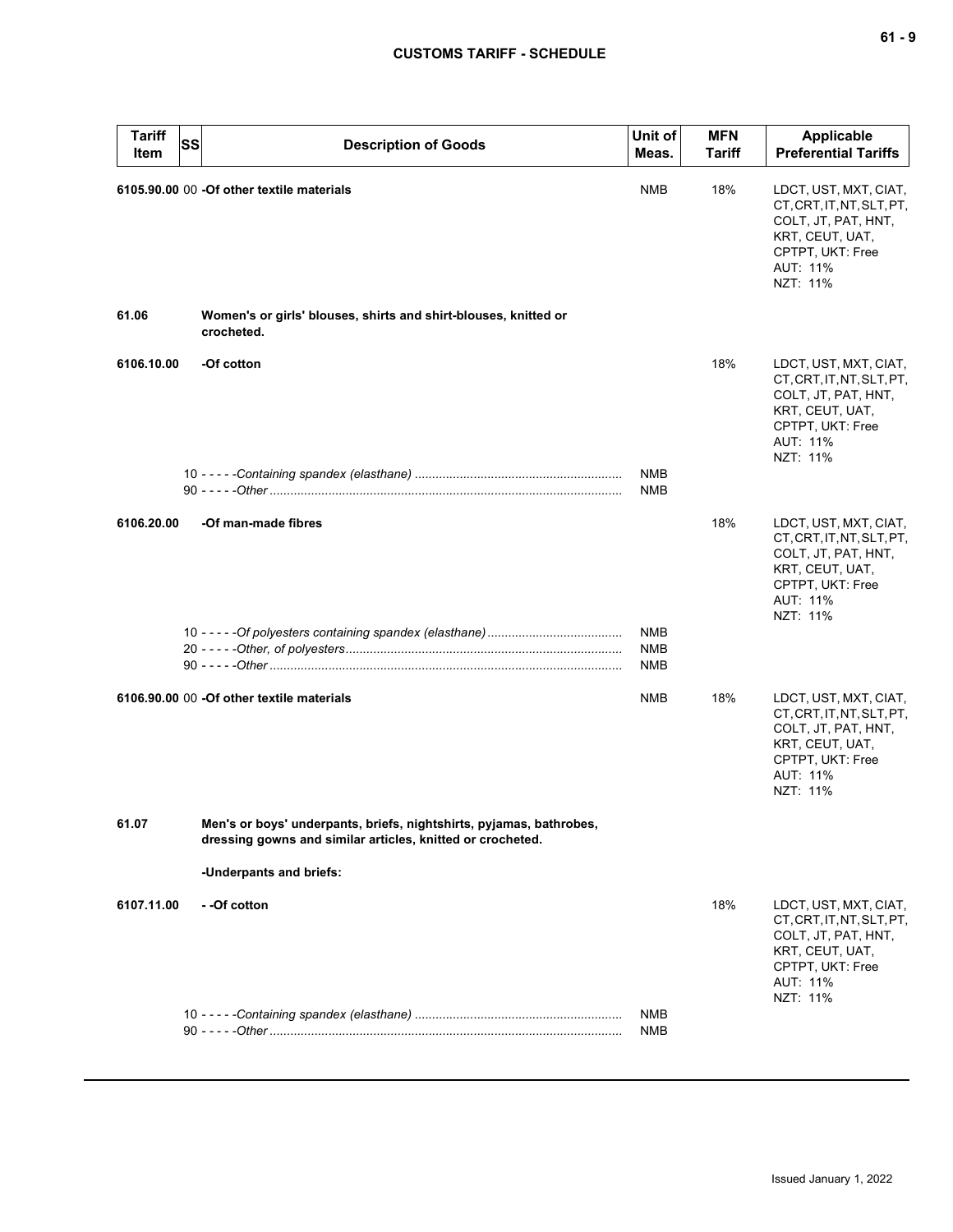| ×<br>۰. |  | ×<br>۰. |
|---------|--|---------|
|---------|--|---------|

| <b>Tariff</b><br><b>SS</b><br>Item | <b>Description of Goods</b>                                                                                                       | Unit of<br>Meas.                       | <b>MFN</b><br><b>Tariff</b> | <b>Applicable</b><br><b>Preferential Tariffs</b>                                                                                         |
|------------------------------------|-----------------------------------------------------------------------------------------------------------------------------------|----------------------------------------|-----------------------------|------------------------------------------------------------------------------------------------------------------------------------------|
|                                    | 6105.90.00 00 - Of other textile materials                                                                                        | <b>NMB</b>                             | 18%                         | LDCT, UST, MXT, CIAT,<br>CT, CRT, IT, NT, SLT, PT,<br>COLT, JT, PAT, HNT,<br>KRT, CEUT, UAT,<br>CPTPT, UKT: Free<br>AUT: 11%<br>NZT: 11% |
| 61.06                              | Women's or girls' blouses, shirts and shirt-blouses, knitted or<br>crocheted.                                                     |                                        |                             |                                                                                                                                          |
| 6106.10.00                         | -Of cotton                                                                                                                        |                                        | 18%                         | LDCT, UST, MXT, CIAT,<br>CT, CRT, IT, NT, SLT, PT,<br>COLT, JT, PAT, HNT,<br>KRT, CEUT, UAT,<br>CPTPT, UKT: Free<br>AUT: 11%<br>NZT: 11% |
|                                    |                                                                                                                                   | <b>NMB</b><br><b>NMB</b>               |                             |                                                                                                                                          |
| 6106.20.00                         | -Of man-made fibres                                                                                                               |                                        | 18%                         | LDCT, UST, MXT, CIAT,<br>CT, CRT, IT, NT, SLT, PT,<br>COLT, JT, PAT, HNT,<br>KRT, CEUT, UAT,<br>CPTPT, UKT: Free<br>AUT: 11%<br>NZT: 11% |
|                                    |                                                                                                                                   | <b>NMB</b><br><b>NMB</b><br><b>NMB</b> |                             |                                                                                                                                          |
|                                    | 6106.90.00 00 - Of other textile materials                                                                                        | <b>NMB</b>                             | 18%                         | LDCT, UST, MXT, CIAT,<br>CT, CRT, IT, NT, SLT, PT,<br>COLT, JT, PAT, HNT,<br>KRT, CEUT, UAT,<br>CPTPT, UKT: Free<br>AUT: 11%<br>NZT: 11% |
| 61.07                              | Men's or boys' underpants, briefs, nightshirts, pyjamas, bathrobes,<br>dressing gowns and similar articles, knitted or crocheted. |                                        |                             |                                                                                                                                          |
|                                    | -Underpants and briefs:                                                                                                           |                                        |                             |                                                                                                                                          |
| 6107.11.00                         | - -Of cotton                                                                                                                      |                                        | 18%                         | LDCT, UST, MXT, CIAT,<br>CT, CRT, IT, NT, SLT, PT,<br>COLT, JT, PAT, HNT,<br>KRT, CEUT, UAT,<br>CPTPT, UKT: Free<br>AUT: 11%<br>NZT: 11% |
|                                    |                                                                                                                                   | <b>NMB</b><br><b>NMB</b>               |                             |                                                                                                                                          |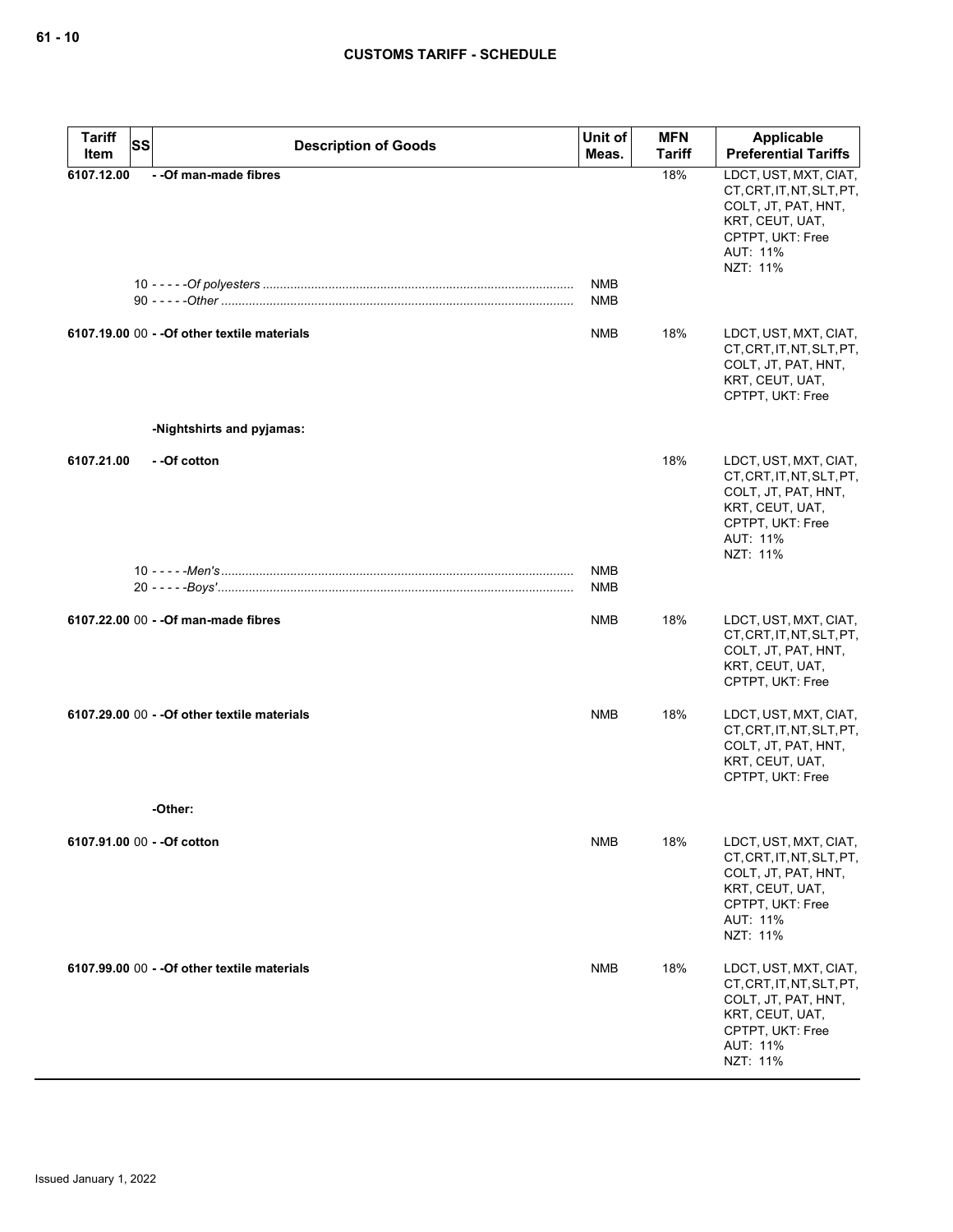| <b>Tariff</b><br><b>SS</b><br>Item | <b>Description of Goods</b>                  | Unit of<br>Meas.         | <b>MFN</b><br><b>Tariff</b> | <b>Applicable</b><br><b>Preferential Tariffs</b>                                                                                         |
|------------------------------------|----------------------------------------------|--------------------------|-----------------------------|------------------------------------------------------------------------------------------------------------------------------------------|
| 6107.12.00                         | - - Of man-made fibres                       |                          | 18%                         | LDCT, UST, MXT, CIAT,<br>CT, CRT, IT, NT, SLT, PT,<br>COLT, JT, PAT, HNT,<br>KRT, CEUT, UAT,<br>CPTPT, UKT: Free<br>AUT: 11%<br>NZT: 11% |
|                                    |                                              | <b>NMB</b><br><b>NMB</b> |                             |                                                                                                                                          |
|                                    | 6107.19.00 00 - - Of other textile materials | NMB                      | 18%                         | LDCT, UST, MXT, CIAT,<br>CT, CRT, IT, NT, SLT, PT,<br>COLT, JT, PAT, HNT,<br>KRT, CEUT, UAT,<br>CPTPT, UKT: Free                         |
|                                    | -Nightshirts and pyjamas:                    |                          |                             |                                                                                                                                          |
| 6107.21.00                         | - -Of cotton                                 |                          | 18%                         | LDCT, UST, MXT, CIAT,<br>CT, CRT, IT, NT, SLT, PT,<br>COLT, JT, PAT, HNT,<br>KRT, CEUT, UAT,<br>CPTPT, UKT: Free<br>AUT: 11%<br>NZT: 11% |
|                                    |                                              | <b>NMB</b><br><b>NMB</b> |                             |                                                                                                                                          |
|                                    | 6107.22.00 00 - - Of man-made fibres         | NMB                      | 18%                         | LDCT, UST, MXT, CIAT,<br>CT, CRT, IT, NT, SLT, PT,<br>COLT, JT, PAT, HNT,<br>KRT, CEUT, UAT,<br>CPTPT, UKT: Free                         |
|                                    | 6107.29.00 00 - - Of other textile materials | <b>NMB</b>               | 18%                         | LDCT, UST, MXT, CIAT,<br>CT, CRT, IT, NT, SLT, PT,<br>COLT, JT, PAT, HNT,<br>KRT, CEUT, UAT,<br>CPTPT, UKT: Free                         |
|                                    | -Other:                                      |                          |                             |                                                                                                                                          |
| 6107.91.00 00 - - Of cotton        |                                              | <b>NMB</b>               | 18%                         | LDCT, UST, MXT, CIAT,<br>CT, CRT, IT, NT, SLT, PT,<br>COLT, JT, PAT, HNT,<br>KRT, CEUT, UAT,<br>CPTPT, UKT: Free<br>AUT: 11%<br>NZT: 11% |
|                                    | 6107.99.00 00 - - Of other textile materials | NMB                      | 18%                         | LDCT, UST, MXT, CIAT,<br>CT, CRT, IT, NT, SLT, PT,<br>COLT, JT, PAT, HNT,<br>KRT, CEUT, UAT,<br>CPTPT, UKT: Free<br>AUT: 11%<br>NZT: 11% |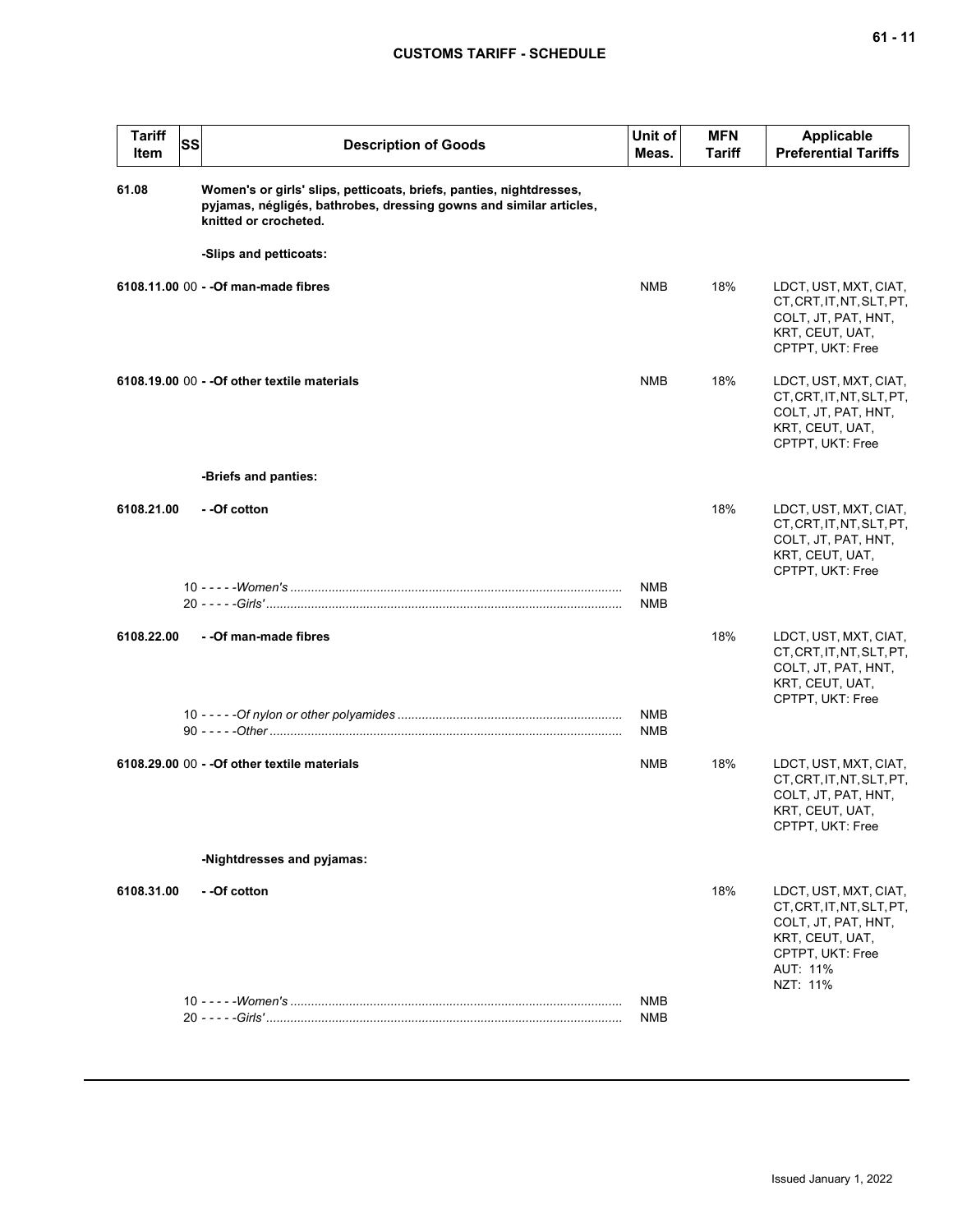| <b>Tariff</b><br>Item | SS<br><b>Description of Goods</b>                                                                                                                                  | Unit of<br>Meas.         | <b>MFN</b><br>Tariff | <b>Applicable</b><br><b>Preferential Tariffs</b>                                                                                         |
|-----------------------|--------------------------------------------------------------------------------------------------------------------------------------------------------------------|--------------------------|----------------------|------------------------------------------------------------------------------------------------------------------------------------------|
| 61.08                 | Women's or girls' slips, petticoats, briefs, panties, nightdresses,<br>pyjamas, négligés, bathrobes, dressing gowns and similar articles,<br>knitted or crocheted. |                          |                      |                                                                                                                                          |
|                       | -Slips and petticoats:                                                                                                                                             |                          |                      |                                                                                                                                          |
|                       | 6108.11.00 00 - - Of man-made fibres                                                                                                                               | <b>NMB</b>               | 18%                  | LDCT, UST, MXT, CIAT,<br>CT, CRT, IT, NT, SLT, PT,<br>COLT, JT, PAT, HNT,<br>KRT, CEUT, UAT,<br>CPTPT, UKT: Free                         |
|                       | 6108.19.00 00 - - Of other textile materials                                                                                                                       | <b>NMB</b>               | 18%                  | LDCT, UST, MXT, CIAT,<br>CT, CRT, IT, NT, SLT, PT,<br>COLT, JT, PAT, HNT,<br>KRT, CEUT, UAT,<br>CPTPT, UKT: Free                         |
|                       | -Briefs and panties:                                                                                                                                               |                          |                      |                                                                                                                                          |
| 6108.21.00            | - -Of cotton                                                                                                                                                       | <b>NMB</b><br><b>NMB</b> | 18%                  | LDCT, UST, MXT, CIAT,<br>CT.CRT.IT.NT.SLT.PT.<br>COLT, JT, PAT, HNT,<br>KRT, CEUT, UAT,<br>CPTPT, UKT: Free                              |
| 6108.22.00            | - - Of man-made fibres                                                                                                                                             |                          | 18%                  | LDCT, UST, MXT, CIAT,<br>CT, CRT, IT, NT, SLT, PT,<br>COLT, JT, PAT, HNT,<br>KRT, CEUT, UAT,<br>CPTPT, UKT: Free                         |
|                       |                                                                                                                                                                    | <b>NMB</b><br><b>NMB</b> |                      |                                                                                                                                          |
|                       | 6108.29.00 00 - - Of other textile materials                                                                                                                       | NMB                      | 18%                  | LDCT, UST, MXT, CIAT,<br>CT, CRT, IT, NT, SLT, PT,<br>COLT, JT, PAT, HNT,<br>KRT, CEUT, UAT,<br>CPTPT, UKT: Free                         |
|                       | -Nightdresses and pyjamas:                                                                                                                                         |                          |                      |                                                                                                                                          |
| 6108.31.00            | - - Of cotton                                                                                                                                                      |                          | 18%                  | LDCT, UST, MXT, CIAT,<br>CT, CRT, IT, NT, SLT, PT,<br>COLT, JT, PAT, HNT,<br>KRT, CEUT, UAT,<br>CPTPT, UKT: Free<br>AUT: 11%<br>NZT: 11% |
|                       |                                                                                                                                                                    | NMB<br>NMB               |                      |                                                                                                                                          |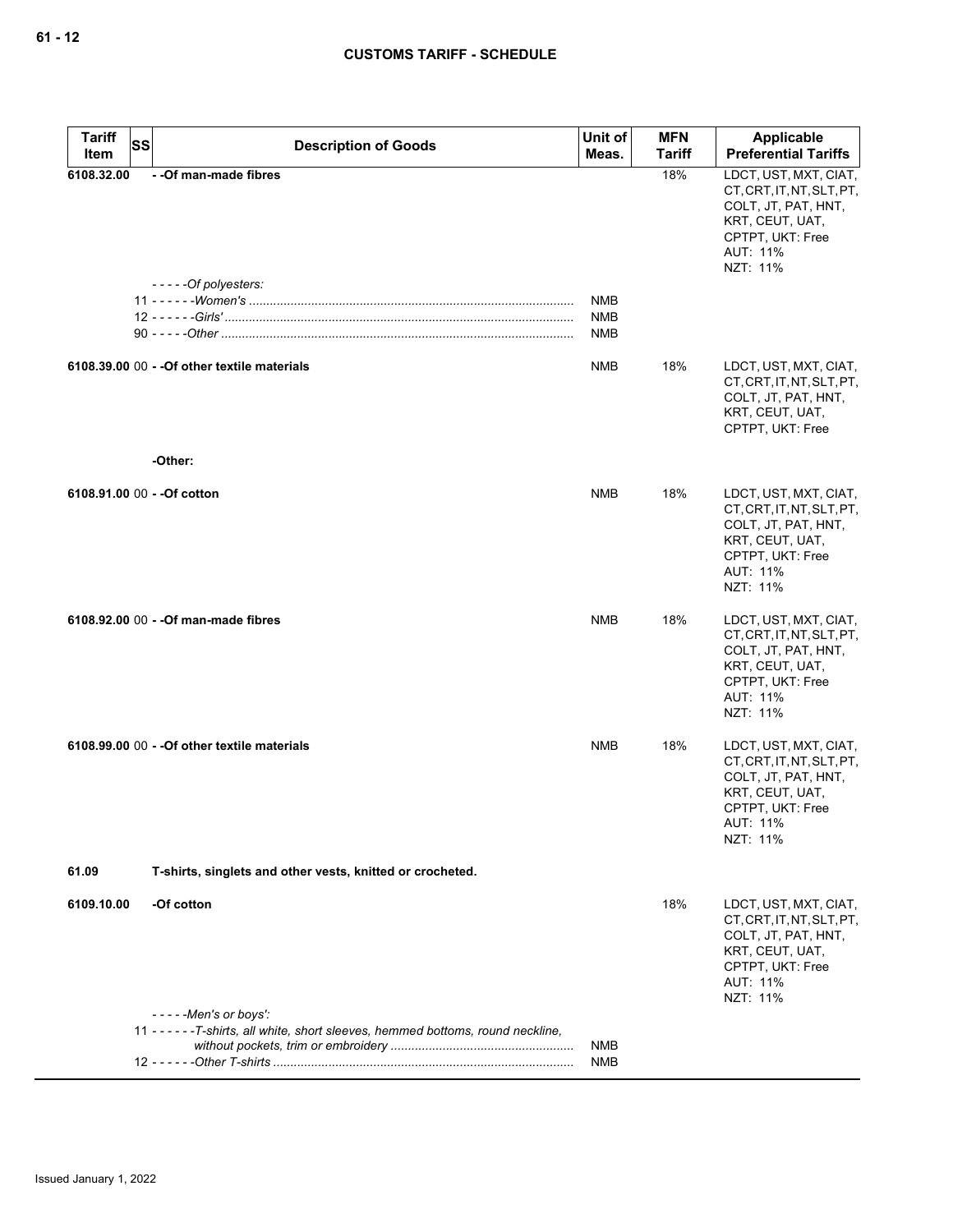| <b>Tariff</b><br><b>SS</b><br>Item | <b>Description of Goods</b>                                                        | Unit of<br>Meas.                       | <b>MFN</b><br><b>Tariff</b> | <b>Applicable</b><br><b>Preferential Tariffs</b>                                                                                         |
|------------------------------------|------------------------------------------------------------------------------------|----------------------------------------|-----------------------------|------------------------------------------------------------------------------------------------------------------------------------------|
| 6108.32.00                         | - - Of man-made fibres<br>$---Of polyssters:$                                      |                                        | 18%                         | LDCT, UST, MXT, CIAT,<br>CT, CRT, IT, NT, SLT, PT,<br>COLT, JT, PAT, HNT,<br>KRT, CEUT, UAT,<br>CPTPT, UKT: Free<br>AUT: 11%<br>NZT: 11% |
|                                    |                                                                                    | <b>NMB</b><br><b>NMB</b><br><b>NMB</b> |                             |                                                                                                                                          |
|                                    | 6108.39.00 00 - - Of other textile materials                                       | <b>NMB</b>                             | 18%                         | LDCT, UST, MXT, CIAT,<br>CT, CRT, IT, NT, SLT, PT,<br>COLT, JT, PAT, HNT,<br>KRT, CEUT, UAT,<br>CPTPT, UKT: Free                         |
|                                    | -Other:                                                                            |                                        |                             |                                                                                                                                          |
| 6108.91.00 00 - - Of cotton        |                                                                                    | <b>NMB</b>                             | 18%                         | LDCT, UST, MXT, CIAT,<br>CT, CRT, IT, NT, SLT, PT,<br>COLT, JT, PAT, HNT,<br>KRT, CEUT, UAT,<br>CPTPT, UKT: Free<br>AUT: 11%<br>NZT: 11% |
|                                    | 6108.92.00 00 - - Of man-made fibres                                               | <b>NMB</b>                             | 18%                         | LDCT, UST, MXT, CIAT,<br>CT, CRT, IT, NT, SLT, PT,<br>COLT, JT, PAT, HNT,<br>KRT, CEUT, UAT,<br>CPTPT, UKT: Free<br>AUT: 11%<br>NZT: 11% |
|                                    | 6108.99.00 00 - - Of other textile materials                                       | <b>NMB</b>                             | 18%                         | LDCT, UST, MXT, CIAT,<br>CT, CRT, IT, NT, SLT, PT,<br>COLT, JT, PAT, HNT,<br>KRT, CEUT, UAT,<br>CPTPT, UKT: Free<br>AUT: 11%<br>NZT: 11% |
| 61.09                              | T-shirts, singlets and other vests, knitted or crocheted.                          |                                        |                             |                                                                                                                                          |
| 6109.10.00                         | -Of cotton<br>-----Men's or boys':                                                 |                                        | 18%                         | LDCT, UST, MXT, CIAT,<br>CT, CRT, IT, NT, SLT, PT,<br>COLT, JT, PAT, HNT,<br>KRT, CEUT, UAT,<br>CPTPT, UKT: Free<br>AUT: 11%<br>NZT: 11% |
|                                    | 11 - - - - - - T-shirts, all white, short sleeves, hemmed bottoms, round neckline, | <b>NMB</b><br><b>NMB</b>               |                             |                                                                                                                                          |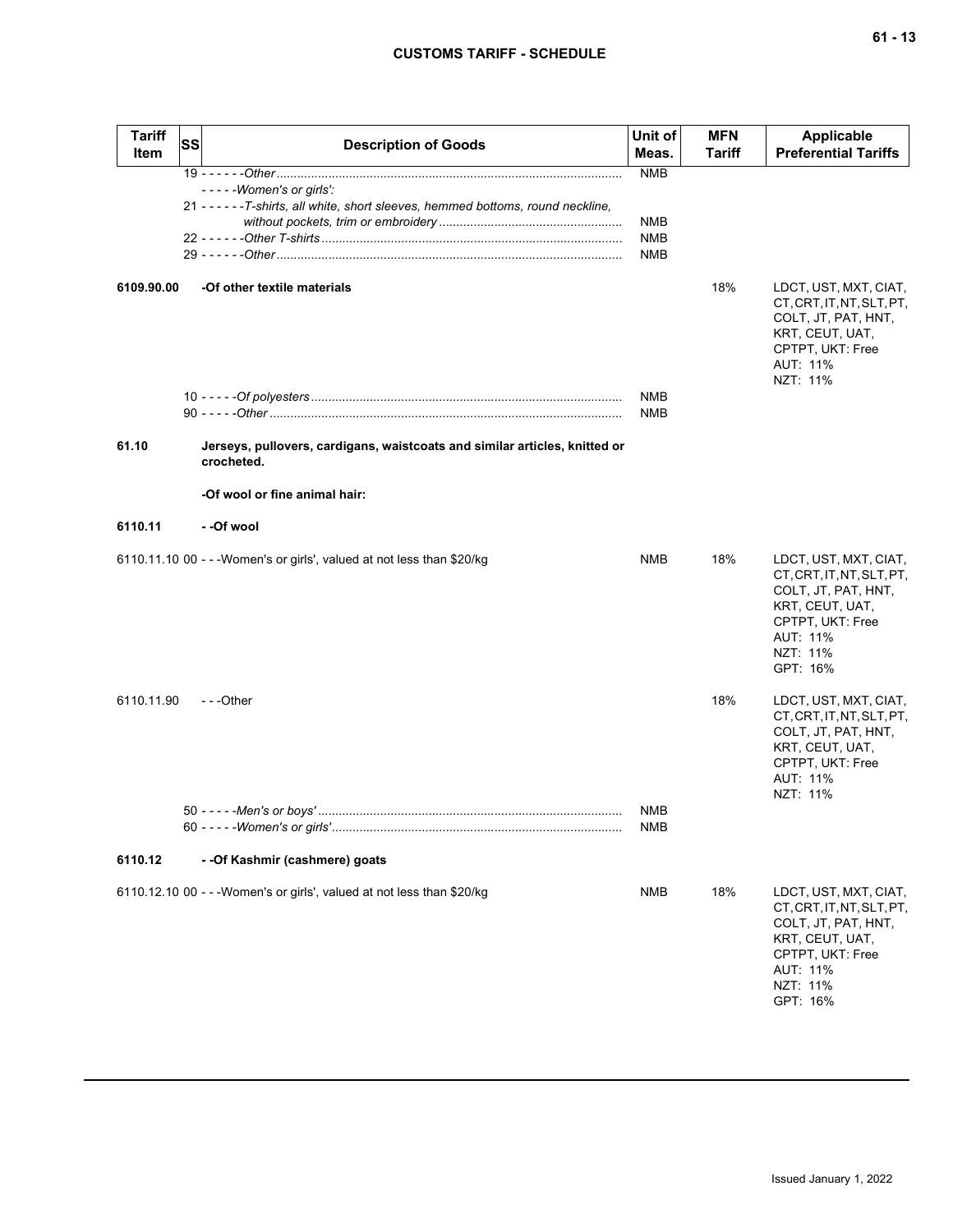| ×<br>۰. |  | ×<br>۰. |
|---------|--|---------|
|---------|--|---------|

| <b>Tariff</b><br><b>Item</b> | SS | <b>Description of Goods</b>                                                                                   | Unit of<br>Meas.                       | <b>MFN</b><br>Tariff | <b>Applicable</b><br><b>Preferential Tariffs</b>                                                                                                     |
|------------------------------|----|---------------------------------------------------------------------------------------------------------------|----------------------------------------|----------------------|------------------------------------------------------------------------------------------------------------------------------------------------------|
|                              |    | -----Women's or girls':<br>21 - - - - - - T-shirts, all white, short sleeves, hemmed bottoms, round neckline, | <b>NMB</b>                             |                      |                                                                                                                                                      |
|                              |    |                                                                                                               | <b>NMB</b><br><b>NMB</b><br><b>NMB</b> |                      |                                                                                                                                                      |
| 6109.90.00                   |    | -Of other textile materials                                                                                   |                                        | 18%                  | LDCT, UST, MXT, CIAT,<br>CT, CRT, IT, NT, SLT, PT,<br>COLT, JT, PAT, HNT,<br>KRT, CEUT, UAT,<br>CPTPT, UKT: Free<br>AUT: 11%<br>NZT: 11%             |
|                              |    |                                                                                                               | <b>NMB</b><br><b>NMB</b>               |                      |                                                                                                                                                      |
| 61.10                        |    | Jerseys, pullovers, cardigans, waistcoats and similar articles, knitted or<br>crocheted.                      |                                        |                      |                                                                                                                                                      |
|                              |    | -Of wool or fine animal hair:                                                                                 |                                        |                      |                                                                                                                                                      |
| 6110.11                      |    | - -Of wool                                                                                                    |                                        |                      |                                                                                                                                                      |
|                              |    | 6110.11.10 00 - - - Women's or girls', valued at not less than \$20/kg                                        | <b>NMB</b>                             | 18%                  | LDCT, UST, MXT, CIAT,<br>CT, CRT, IT, NT, SLT, PT,<br>COLT, JT, PAT, HNT,<br>KRT, CEUT, UAT,<br>CPTPT, UKT: Free<br>AUT: 11%<br>NZT: 11%<br>GPT: 16% |
| 6110.11.90                   |    | ---Other                                                                                                      |                                        | 18%                  | LDCT, UST, MXT, CIAT,<br>CT, CRT, IT, NT, SLT, PT,<br>COLT, JT, PAT, HNT,<br>KRT, CEUT, UAT,<br>CPTPT, UKT: Free<br>AUT: 11%<br>NZT: 11%             |
|                              |    |                                                                                                               | NMB<br>NMB                             |                      |                                                                                                                                                      |
| 6110.12                      |    | - - Of Kashmir (cashmere) goats                                                                               |                                        |                      |                                                                                                                                                      |
|                              |    | 6110.12.10 00 - - - Women's or girls', valued at not less than \$20/kg                                        | <b>NMB</b>                             | 18%                  | LDCT, UST, MXT, CIAT,<br>CT, CRT, IT, NT, SLT, PT,<br>COLT, JT, PAT, HNT,<br>KRT, CEUT, UAT,<br>CPTPT, UKT: Free<br>AUT: 11%<br>NZT: 11%<br>GPT: 16% |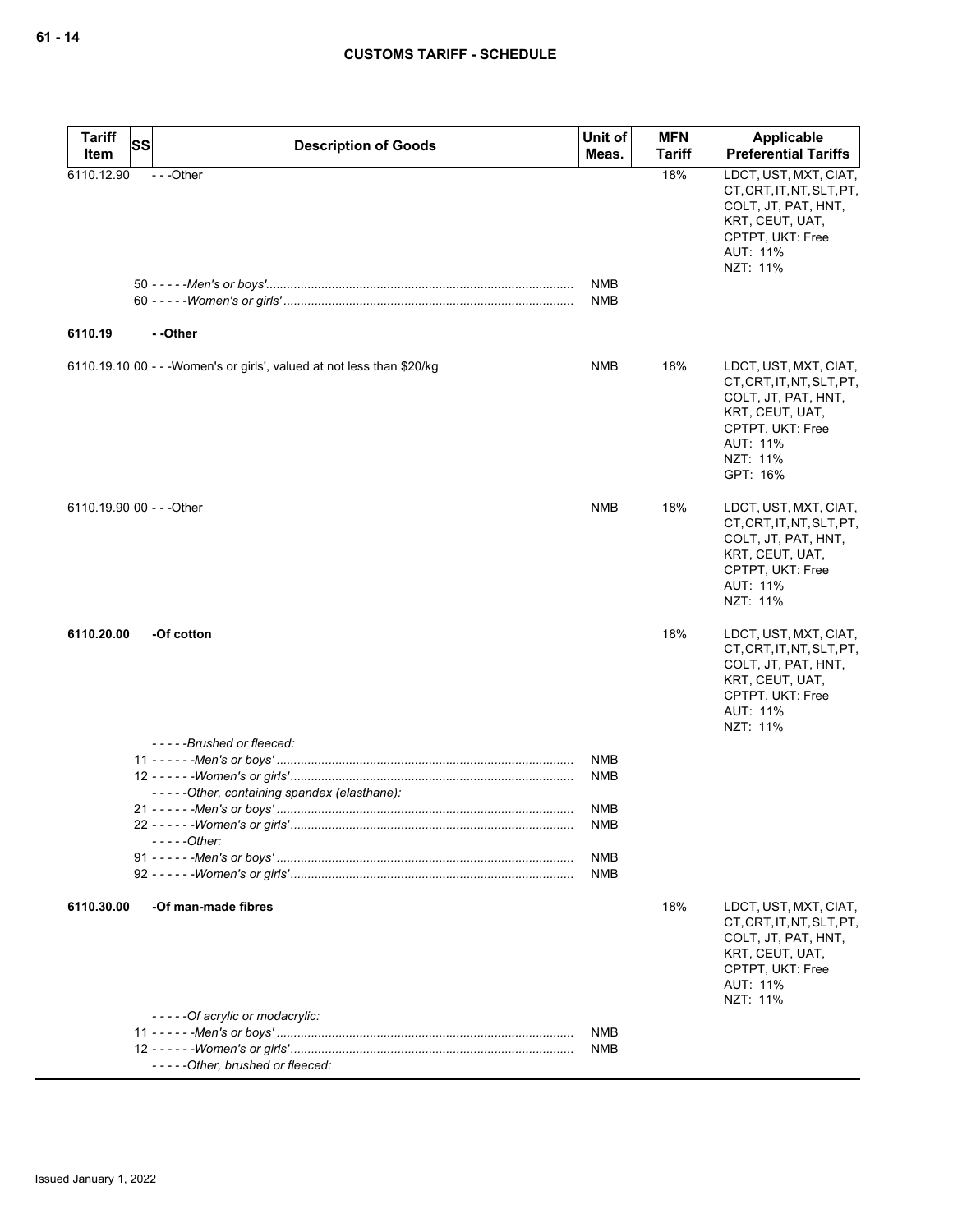| <b>Tariff</b><br>SS<br>Item | <b>Description of Goods</b>                                            | Unit of<br>Meas.         | <b>MFN</b><br><b>Tariff</b> | Applicable<br><b>Preferential Tariffs</b>                                                                                                            |
|-----------------------------|------------------------------------------------------------------------|--------------------------|-----------------------------|------------------------------------------------------------------------------------------------------------------------------------------------------|
| 6110.12.90                  | ---Other                                                               |                          | 18%                         | LDCT, UST, MXT, CIAT,<br>CT, CRT, IT, NT, SLT, PT,<br>COLT, JT, PAT, HNT,<br>KRT, CEUT, UAT,<br>CPTPT, UKT: Free<br>AUT: 11%<br>NZT: 11%             |
|                             |                                                                        | <b>NMB</b><br><b>NMB</b> |                             |                                                                                                                                                      |
| 6110.19                     | --Other                                                                |                          |                             |                                                                                                                                                      |
|                             | 6110.19.10 00 - - - Women's or girls', valued at not less than \$20/kg | <b>NMB</b>               | 18%                         | LDCT, UST, MXT, CIAT,<br>CT, CRT, IT, NT, SLT, PT,<br>COLT, JT, PAT, HNT,<br>KRT, CEUT, UAT,<br>CPTPT, UKT: Free<br>AUT: 11%<br>NZT: 11%<br>GPT: 16% |
| 6110.19.90 00 - - - Other   |                                                                        | <b>NMB</b>               | 18%                         | LDCT, UST, MXT, CIAT,<br>CT, CRT, IT, NT, SLT, PT,<br>COLT, JT, PAT, HNT,<br>KRT, CEUT, UAT,<br>CPTPT, UKT: Free<br>AUT: 11%<br>NZT: 11%             |
| 6110.20.00                  | -Of cotton                                                             |                          | 18%                         | LDCT, UST, MXT, CIAT,<br>CT, CRT, IT, NT, SLT, PT,<br>COLT, JT, PAT, HNT,<br>KRT, CEUT, UAT,<br>CPTPT, UKT: Free<br>AUT: 11%<br>NZT: 11%             |
|                             | -----Brushed or fleeced:                                               | NMB                      |                             |                                                                                                                                                      |
|                             | -----Other, containing spandex (elasthane):                            | <b>NMB</b>               |                             |                                                                                                                                                      |
|                             | $---Other:$                                                            | <b>NMB</b><br>NMB        |                             |                                                                                                                                                      |
|                             |                                                                        | <b>NMB</b><br><b>NMB</b> |                             |                                                                                                                                                      |
| 6110.30.00                  | -Of man-made fibres<br>-----Of acrylic or modacrylic:                  |                          | 18%                         | LDCT, UST, MXT, CIAT,<br>CT, CRT, IT, NT, SLT, PT,<br>COLT, JT, PAT, HNT,<br>KRT, CEUT, UAT,<br>CPTPT, UKT: Free<br>AUT: 11%<br>NZT: 11%             |
|                             | -----Other, brushed or fleeced:                                        | <b>NMB</b><br><b>NMB</b> |                             |                                                                                                                                                      |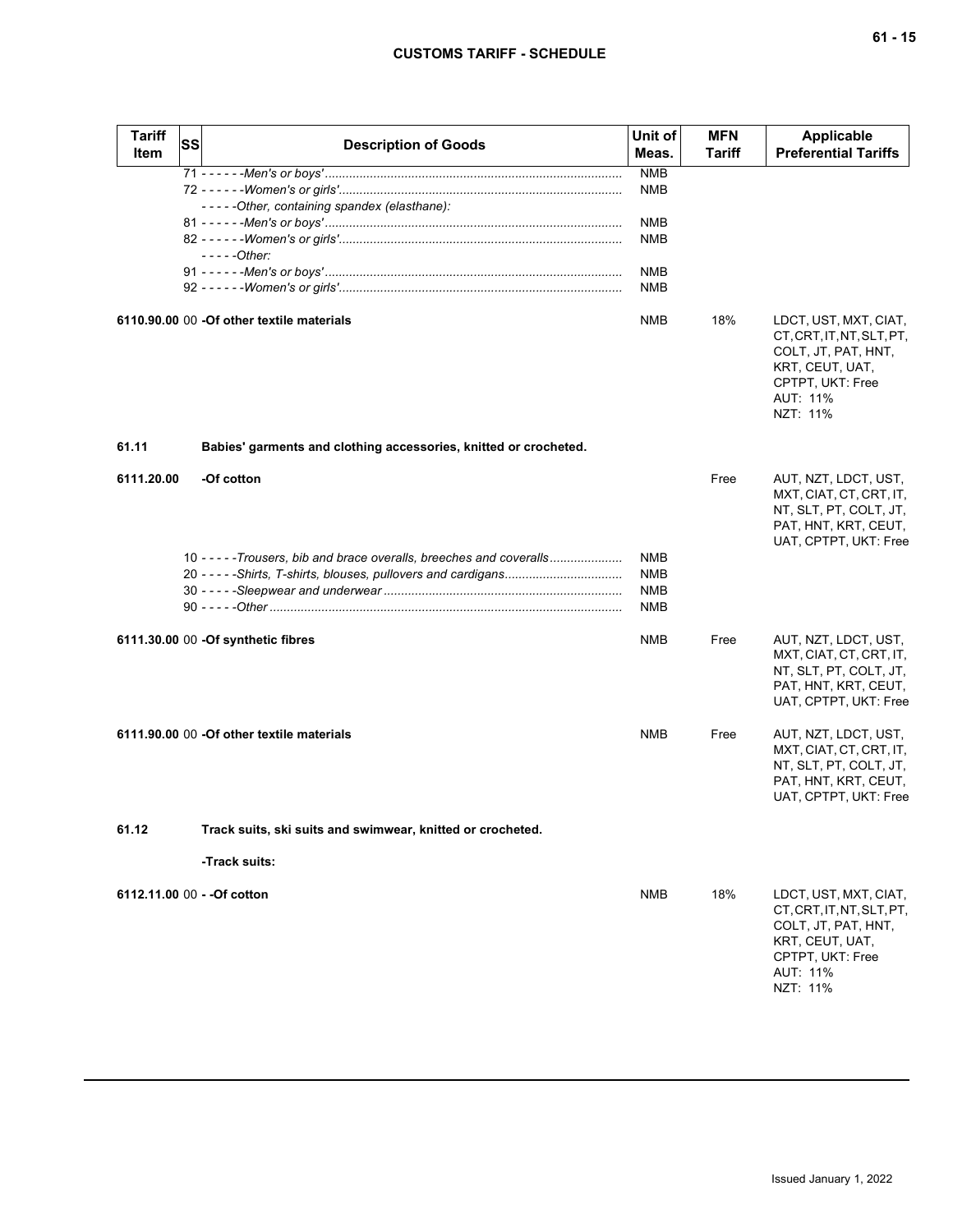| ۰.<br>× |  | ۰. |
|---------|--|----|
|---------|--|----|

| <b>Tariff</b><br>Item | SS | <b>Description of Goods</b>                                           | Unit of<br>Meas.                                     | <b>MFN</b><br>Tariff | <b>Applicable</b><br><b>Preferential Tariffs</b>                                                                                         |
|-----------------------|----|-----------------------------------------------------------------------|------------------------------------------------------|----------------------|------------------------------------------------------------------------------------------------------------------------------------------|
|                       |    |                                                                       | <b>NMB</b><br><b>NMB</b>                             |                      |                                                                                                                                          |
|                       |    | -----Other, containing spandex (elasthane):<br>- - - - - Other:       | <b>NMB</b><br><b>NMB</b>                             |                      |                                                                                                                                          |
|                       |    |                                                                       | <b>NMB</b><br><b>NMB</b>                             |                      |                                                                                                                                          |
|                       |    | 6110.90.00 00 -Of other textile materials                             | <b>NMB</b>                                           | 18%                  | LDCT, UST, MXT, CIAT,<br>CT.CRT.IT.NT.SLT.PT.<br>COLT, JT, PAT, HNT,<br>KRT, CEUT, UAT,<br>CPTPT, UKT: Free<br>AUT: 11%<br>NZT: 11%      |
| 61.11                 |    | Babies' garments and clothing accessories, knitted or crocheted.      |                                                      |                      |                                                                                                                                          |
| 6111.20.00            |    | -Of cotton                                                            |                                                      | Free                 | AUT, NZT, LDCT, UST,<br>MXT, CIAT, CT, CRT, IT,<br>NT, SLT, PT, COLT, JT,<br>PAT, HNT, KRT, CEUT,<br>UAT, CPTPT, UKT: Free               |
|                       |    | 10 - - - - - Trousers, bib and brace overalls, breeches and coveralls | <b>NMB</b><br><b>NMB</b><br><b>NMB</b><br><b>NMB</b> |                      |                                                                                                                                          |
|                       |    | 6111.30.00 00 -Of synthetic fibres                                    | <b>NMB</b>                                           | Free                 | AUT, NZT, LDCT, UST,<br>MXT, CIAT, CT, CRT, IT,<br>NT, SLT, PT, COLT, JT,<br>PAT, HNT, KRT, CEUT,<br>UAT, CPTPT, UKT: Free               |
|                       |    | 6111.90.00 00 - Of other textile materials                            | <b>NMB</b>                                           | Free                 | AUT, NZT, LDCT, UST,<br>MXT, CIAT, CT, CRT, IT,<br>NT, SLT, PT, COLT, JT,<br>PAT, HNT, KRT, CEUT,<br>UAT, CPTPT, UKT: Free               |
| 61.12                 |    | Track suits, ski suits and swimwear, knitted or crocheted.            |                                                      |                      |                                                                                                                                          |
|                       |    | -Track suits:                                                         |                                                      |                      |                                                                                                                                          |
|                       |    | 6112.11.00 00 - - Of cotton                                           | <b>NMB</b>                                           | 18%                  | LDCT, UST, MXT, CIAT,<br>CT, CRT, IT, NT, SLT, PT,<br>COLT, JT, PAT, HNT,<br>KRT, CEUT, UAT,<br>CPTPT, UKT: Free<br>AUT: 11%<br>NZT: 11% |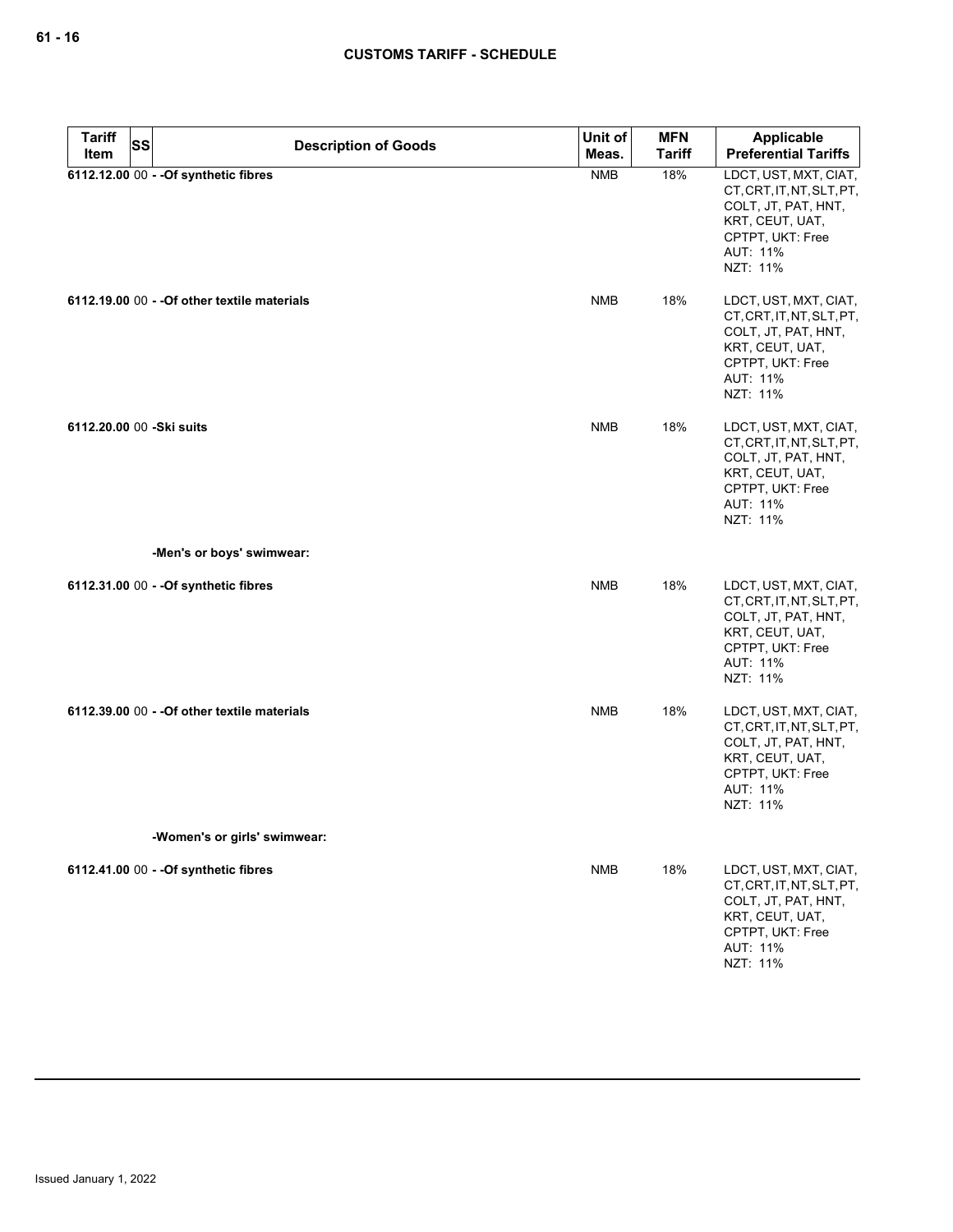| <b>Tariff</b><br><b>SS</b> | <b>Description of Goods</b>                  | Unit of    | <b>MFN</b>    | Applicable                                                                                                                               |
|----------------------------|----------------------------------------------|------------|---------------|------------------------------------------------------------------------------------------------------------------------------------------|
| Item                       |                                              | Meas.      | <b>Tariff</b> | <b>Preferential Tariffs</b>                                                                                                              |
|                            | 6112.12.00 00 - - Of synthetic fibres        | <b>NMB</b> | 18%           | LDCT, UST, MXT, CIAT,<br>CT, CRT, IT, NT, SLT, PT,<br>COLT, JT, PAT, HNT,<br>KRT, CEUT, UAT,<br>CPTPT, UKT: Free<br>AUT: 11%<br>NZT: 11% |
|                            | 6112.19.00 00 - - Of other textile materials | <b>NMB</b> | 18%           | LDCT, UST, MXT, CIAT,<br>CT, CRT, IT, NT, SLT, PT,<br>COLT, JT, PAT, HNT,<br>KRT, CEUT, UAT,<br>CPTPT, UKT: Free<br>AUT: 11%<br>NZT: 11% |
| 6112.20.00 00 -Ski suits   |                                              | <b>NMB</b> | 18%           | LDCT, UST, MXT, CIAT,<br>CT, CRT, IT, NT, SLT, PT,<br>COLT, JT, PAT, HNT,<br>KRT, CEUT, UAT,<br>CPTPT, UKT: Free<br>AUT: 11%<br>NZT: 11% |
|                            | -Men's or boys' swimwear:                    |            |               |                                                                                                                                          |
|                            | 6112.31.00 00 - - Of synthetic fibres        | <b>NMB</b> | 18%           | LDCT, UST, MXT, CIAT,<br>CT, CRT, IT, NT, SLT, PT,<br>COLT, JT, PAT, HNT,<br>KRT, CEUT, UAT,<br>CPTPT, UKT: Free<br>AUT: 11%<br>NZT: 11% |
|                            | 6112.39.00 00 - - Of other textile materials | <b>NMB</b> | 18%           | LDCT, UST, MXT, CIAT,<br>CT, CRT, IT, NT, SLT, PT,<br>COLT, JT, PAT, HNT,<br>KRT, CEUT, UAT,<br>CPTPT, UKT: Free<br>AUT: 11%<br>NZT: 11% |
|                            | -Women's or girls' swimwear:                 |            |               |                                                                                                                                          |
|                            | 6112.41.00 00 - - Of synthetic fibres        | <b>NMB</b> | 18%           | LDCT, UST, MXT, CIAT,<br>CT, CRT, IT, NT, SLT, PT,<br>COLT, JT, PAT, HNT,<br>KRT, CEUT, UAT,<br>CPTPT, UKT: Free<br>AUT: 11%<br>NZT: 11% |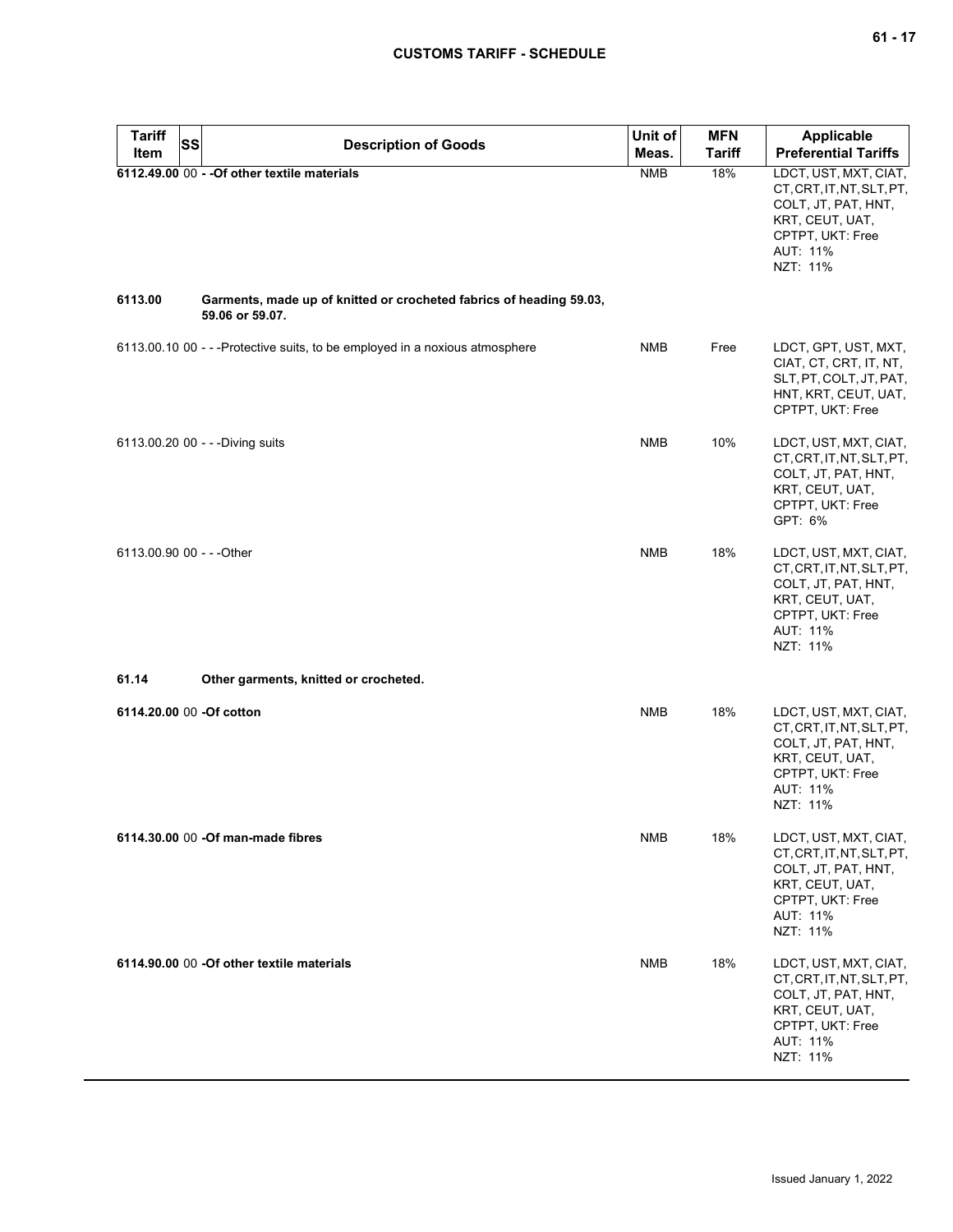| <b>Tariff</b><br>Item | <b>SS</b>                                    | <b>Description of Goods</b>                                                  | Unit of<br>Meas. | <b>MFN</b><br><b>Tariff</b> | Applicable<br><b>Preferential Tariffs</b>                                                                                                |
|-----------------------|----------------------------------------------|------------------------------------------------------------------------------|------------------|-----------------------------|------------------------------------------------------------------------------------------------------------------------------------------|
|                       | 6112.49.00 00 - - Of other textile materials |                                                                              | <b>NMB</b>       | 18%                         | LDCT, UST, MXT, CIAT,<br>CT, CRT, IT, NT, SLT, PT,<br>COLT, JT, PAT, HNT,<br>KRT, CEUT, UAT,<br>CPTPT, UKT: Free<br>AUT: 11%<br>NZT: 11% |
| 6113.00               | 59.06 or 59.07.                              | Garments, made up of knitted or crocheted fabrics of heading 59.03,          |                  |                             |                                                                                                                                          |
|                       |                                              | 6113.00.10 00 - - - Protective suits, to be employed in a noxious atmosphere | <b>NMB</b>       | Free                        | LDCT, GPT, UST, MXT,<br>CIAT, CT, CRT, IT, NT,<br>SLT, PT, COLT, JT, PAT,<br>HNT, KRT, CEUT, UAT,<br>CPTPT, UKT: Free                    |
|                       | 6113.00.20 00 - - - Diving suits             |                                                                              | <b>NMB</b>       | 10%                         | LDCT, UST, MXT, CIAT,<br>CT, CRT, IT, NT, SLT, PT,<br>COLT, JT, PAT, HNT,<br>KRT, CEUT, UAT,<br>CPTPT, UKT: Free<br>GPT: 6%              |
|                       | 6113.00.90 00 - - - Other                    |                                                                              | <b>NMB</b>       | 18%                         | LDCT, UST, MXT, CIAT,<br>CT, CRT, IT, NT, SLT, PT,<br>COLT, JT, PAT, HNT,<br>KRT, CEUT, UAT,<br>CPTPT, UKT: Free<br>AUT: 11%<br>NZT: 11% |
| 61.14                 |                                              | Other garments, knitted or crocheted.                                        |                  |                             |                                                                                                                                          |
|                       | 6114.20.00 00 -Of cotton                     |                                                                              | <b>NMB</b>       | 18%                         | LDCT, UST, MXT, CIAT,<br>CT, CRT, IT, NT, SLT, PT,<br>COLT, JT, PAT, HNT,<br>KRT, CEUT, UAT,<br>CPTPT, UKT: Free<br>AUT: 11%<br>NZT: 11% |
|                       | 6114.30.00 00 -Of man-made fibres            |                                                                              | <b>NMB</b>       | 18%                         | LDCT, UST, MXT, CIAT,<br>CT, CRT, IT, NT, SLT, PT,<br>COLT, JT, PAT, HNT,<br>KRT, CEUT, UAT,<br>CPTPT, UKT: Free<br>AUT: 11%<br>NZT: 11% |
|                       | 6114.90.00 00 - Of other textile materials   |                                                                              | <b>NMB</b>       | 18%                         | LDCT, UST, MXT, CIAT,<br>CT, CRT, IT, NT, SLT, PT,<br>COLT, JT, PAT, HNT,<br>KRT, CEUT, UAT,<br>CPTPT, UKT: Free<br>AUT: 11%<br>NZT: 11% |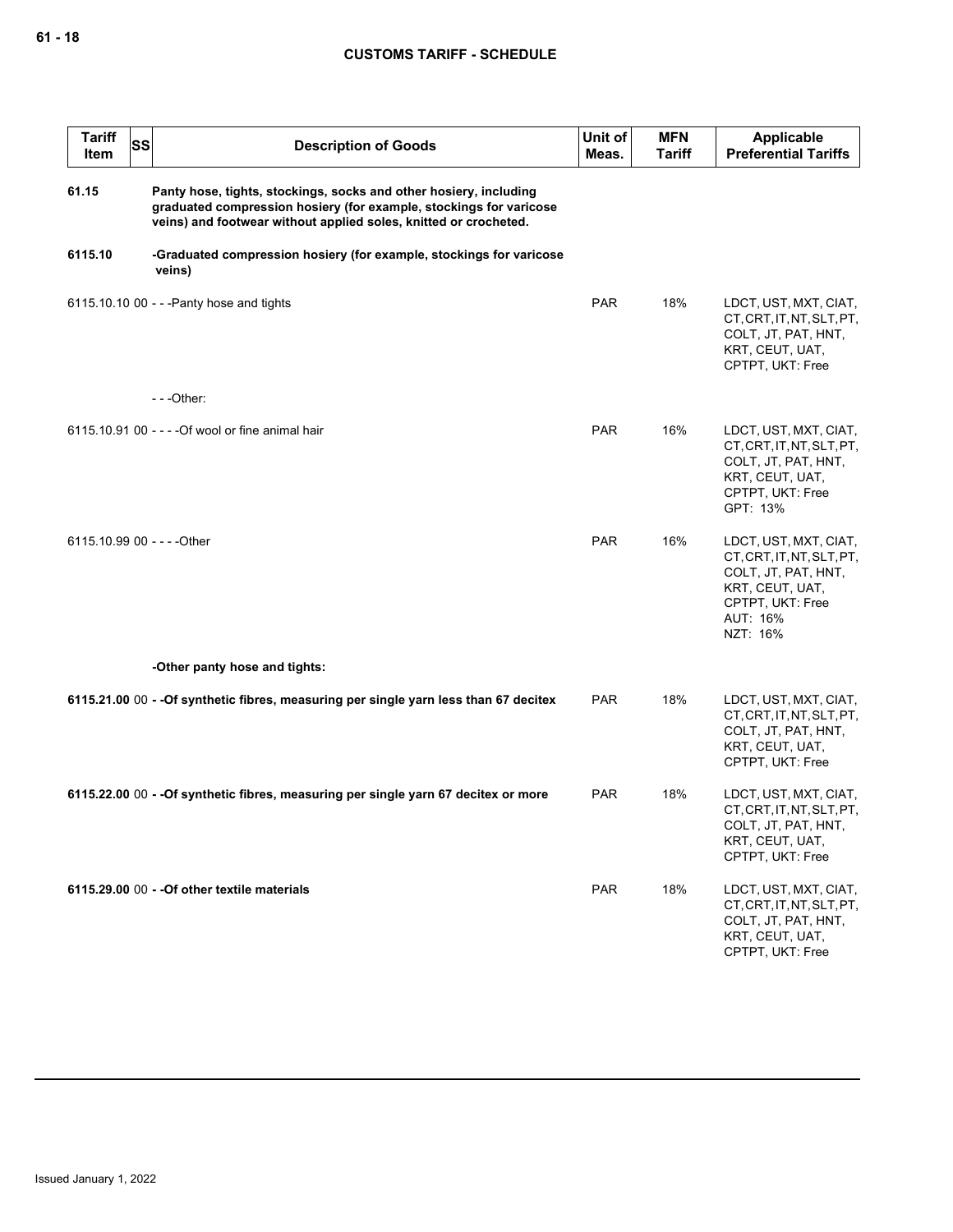| <b>Tariff</b><br>Item | <b>SS</b> | <b>Description of Goods</b>                                                                                                                                                                                 | Unit of<br>Meas. | <b>MFN</b><br><b>Tariff</b> | <b>Applicable</b><br><b>Preferential Tariffs</b>                                                                                         |
|-----------------------|-----------|-------------------------------------------------------------------------------------------------------------------------------------------------------------------------------------------------------------|------------------|-----------------------------|------------------------------------------------------------------------------------------------------------------------------------------|
| 61.15                 |           | Panty hose, tights, stockings, socks and other hosiery, including<br>graduated compression hosiery (for example, stockings for varicose<br>veins) and footwear without applied soles, knitted or crocheted. |                  |                             |                                                                                                                                          |
| 6115.10               |           | -Graduated compression hosiery (for example, stockings for varicose<br>veins)                                                                                                                               |                  |                             |                                                                                                                                          |
|                       |           | $6115.10.10$ 00 - - -Panty hose and tights                                                                                                                                                                  | <b>PAR</b>       | 18%                         | LDCT, UST, MXT, CIAT,<br>CT, CRT, IT, NT, SLT, PT,<br>COLT, JT, PAT, HNT,<br>KRT, CEUT, UAT,<br>CPTPT, UKT: Free                         |
|                       |           | $- -$ Other:                                                                                                                                                                                                |                  |                             |                                                                                                                                          |
|                       |           | 6115.10.91 00 - - - - Of wool or fine animal hair                                                                                                                                                           | <b>PAR</b>       | 16%                         | LDCT, UST, MXT, CIAT,<br>CT, CRT, IT, NT, SLT, PT,<br>COLT, JT, PAT, HNT,<br>KRT, CEUT, UAT,<br>CPTPT, UKT: Free<br>GPT: 13%             |
|                       |           | 6115.10.99 00 - - - - Other                                                                                                                                                                                 | <b>PAR</b>       | 16%                         | LDCT, UST, MXT, CIAT,<br>CT, CRT, IT, NT, SLT, PT,<br>COLT, JT, PAT, HNT,<br>KRT, CEUT, UAT,<br>CPTPT, UKT: Free<br>AUT: 16%<br>NZT: 16% |
|                       |           | -Other panty hose and tights:                                                                                                                                                                               |                  |                             |                                                                                                                                          |
|                       |           | 6115.21.00 00 - - Of synthetic fibres, measuring per single yarn less than 67 decitex                                                                                                                       | <b>PAR</b>       | 18%                         | LDCT, UST, MXT, CIAT,<br>CT, CRT, IT, NT, SLT, PT,<br>COLT, JT, PAT, HNT,<br>KRT, CEUT, UAT,<br>CPTPT, UKT: Free                         |
|                       |           | 6115.22.00 00 - - Of synthetic fibres, measuring per single yarn 67 decitex or more                                                                                                                         | <b>PAR</b>       | 18%                         | LDCT, UST, MXT, CIAT,<br>CT, CRT, IT, NT, SLT, PT,<br>COLT, JT, PAT, HNT,<br>KRT, CEUT, UAT,<br>CPTPT, UKT: Free                         |
|                       |           | 6115.29.00 00 - - Of other textile materials                                                                                                                                                                | <b>PAR</b>       | 18%                         | LDCT, UST, MXT, CIAT,<br>CT, CRT, IT, NT, SLT, PT,<br>COLT, JT, PAT, HNT,<br>KRT, CEUT, UAT,<br>CPTPT, UKT: Free                         |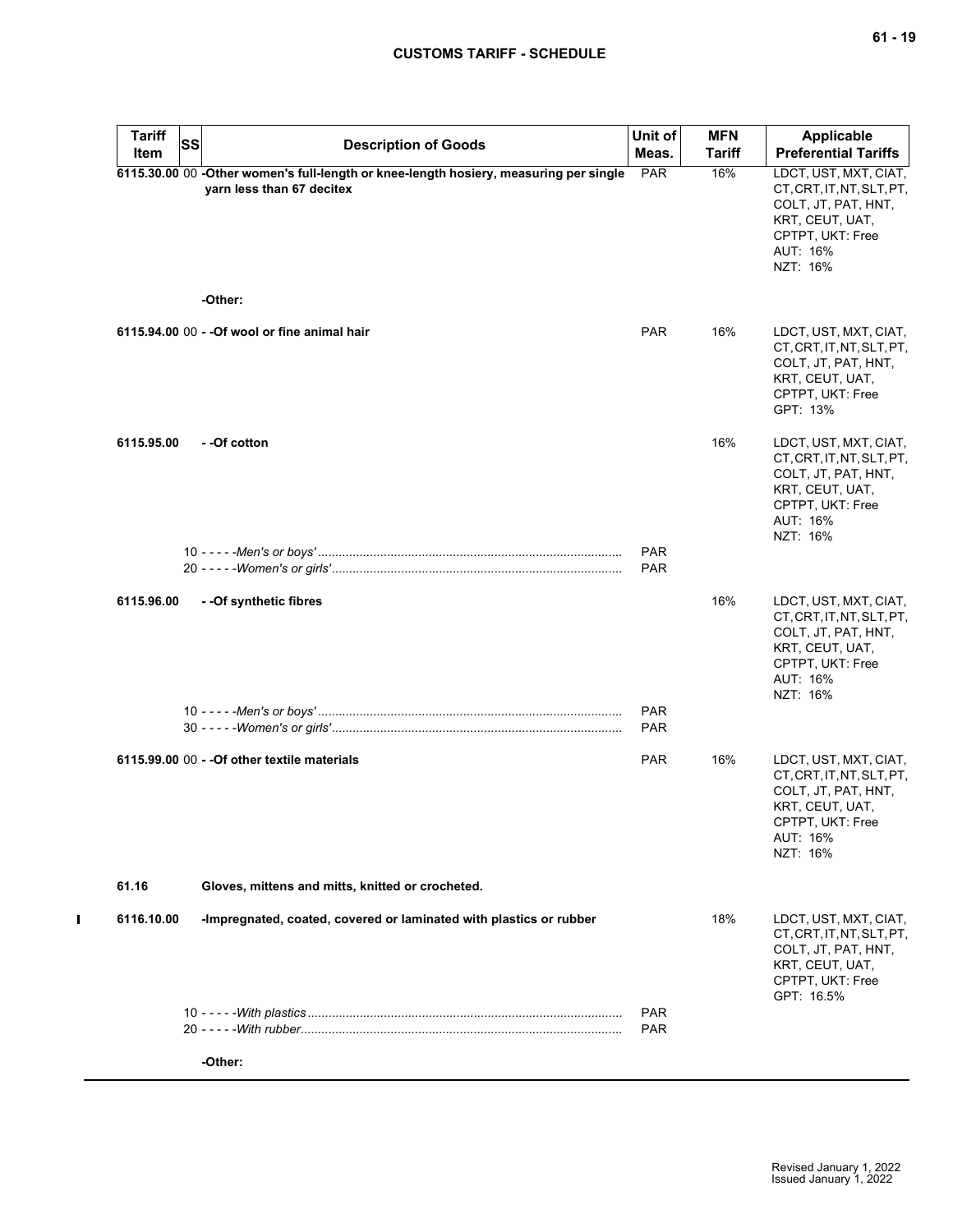| <b>Tariff</b><br>Item | SS<br><b>Description of Goods</b>                                                                                  | Unit of<br>Meas.         | <b>MFN</b><br>Tariff | <b>Applicable</b><br><b>Preferential Tariffs</b>                                                                                         |
|-----------------------|--------------------------------------------------------------------------------------------------------------------|--------------------------|----------------------|------------------------------------------------------------------------------------------------------------------------------------------|
|                       | 6115.30.00 00 -Other women's full-length or knee-length hosiery, measuring per single<br>yarn less than 67 decitex | PAR                      | 16%                  | LDCT, UST, MXT, CIAT,<br>CT, CRT, IT, NT, SLT, PT,<br>COLT, JT, PAT, HNT,<br>KRT, CEUT, UAT,<br>CPTPT, UKT: Free<br>AUT: 16%<br>NZT: 16% |
|                       | -Other:                                                                                                            |                          |                      |                                                                                                                                          |
|                       | 6115.94.00 00 - - Of wool or fine animal hair                                                                      | <b>PAR</b>               | 16%                  | LDCT, UST, MXT, CIAT,<br>CT, CRT, IT, NT, SLT, PT,<br>COLT, JT, PAT, HNT,<br>KRT, CEUT, UAT,<br>CPTPT, UKT: Free<br>GPT: 13%             |
| 6115.95.00            | - -Of cotton                                                                                                       |                          | 16%                  | LDCT, UST, MXT, CIAT,<br>CT, CRT, IT, NT, SLT, PT,<br>COLT, JT, PAT, HNT,<br>KRT, CEUT, UAT,<br>CPTPT, UKT: Free<br>AUT: 16%<br>NZT: 16% |
|                       |                                                                                                                    | <b>PAR</b><br><b>PAR</b> |                      |                                                                                                                                          |
|                       |                                                                                                                    |                          |                      |                                                                                                                                          |
| 6115.96.00            | - - Of synthetic fibres                                                                                            |                          | 16%                  | LDCT, UST, MXT, CIAT,<br>CT, CRT, IT, NT, SLT, PT,<br>COLT, JT, PAT, HNT,<br>KRT, CEUT, UAT,<br>CPTPT, UKT: Free<br>AUT: 16%<br>NZT: 16% |
|                       |                                                                                                                    | <b>PAR</b>               |                      |                                                                                                                                          |
|                       |                                                                                                                    | <b>PAR</b>               |                      |                                                                                                                                          |
|                       | 6115.99.00 00 - - Of other textile materials                                                                       | <b>PAR</b>               | 16%                  | LDCT, UST, MXT, CIAT,<br>CT, CRT, IT, NT, SLT, PT,<br>COLT, JT, PAT, HNT,<br>KRT, CEUT, UAT,<br>CPTPT, UKT: Free<br>AUT: 16%<br>NZT: 16% |
| 61.16                 | Gloves, mittens and mitts, knitted or crocheted.                                                                   |                          |                      |                                                                                                                                          |
| 6116.10.00            | -Impregnated, coated, covered or laminated with plastics or rubber                                                 |                          | 18%                  | LDCT, UST, MXT, CIAT,<br>CT, CRT, IT, NT, SLT, PT,<br>COLT, JT, PAT, HNT,<br>KRT, CEUT, UAT,<br>CPTPT, UKT: Free<br>GPT: 16.5%           |
|                       |                                                                                                                    | <b>PAR</b><br><b>PAR</b> |                      |                                                                                                                                          |
|                       |                                                                                                                    |                          |                      |                                                                                                                                          |
|                       | -Other:                                                                                                            |                          |                      |                                                                                                                                          |

 $\mathbf{I}$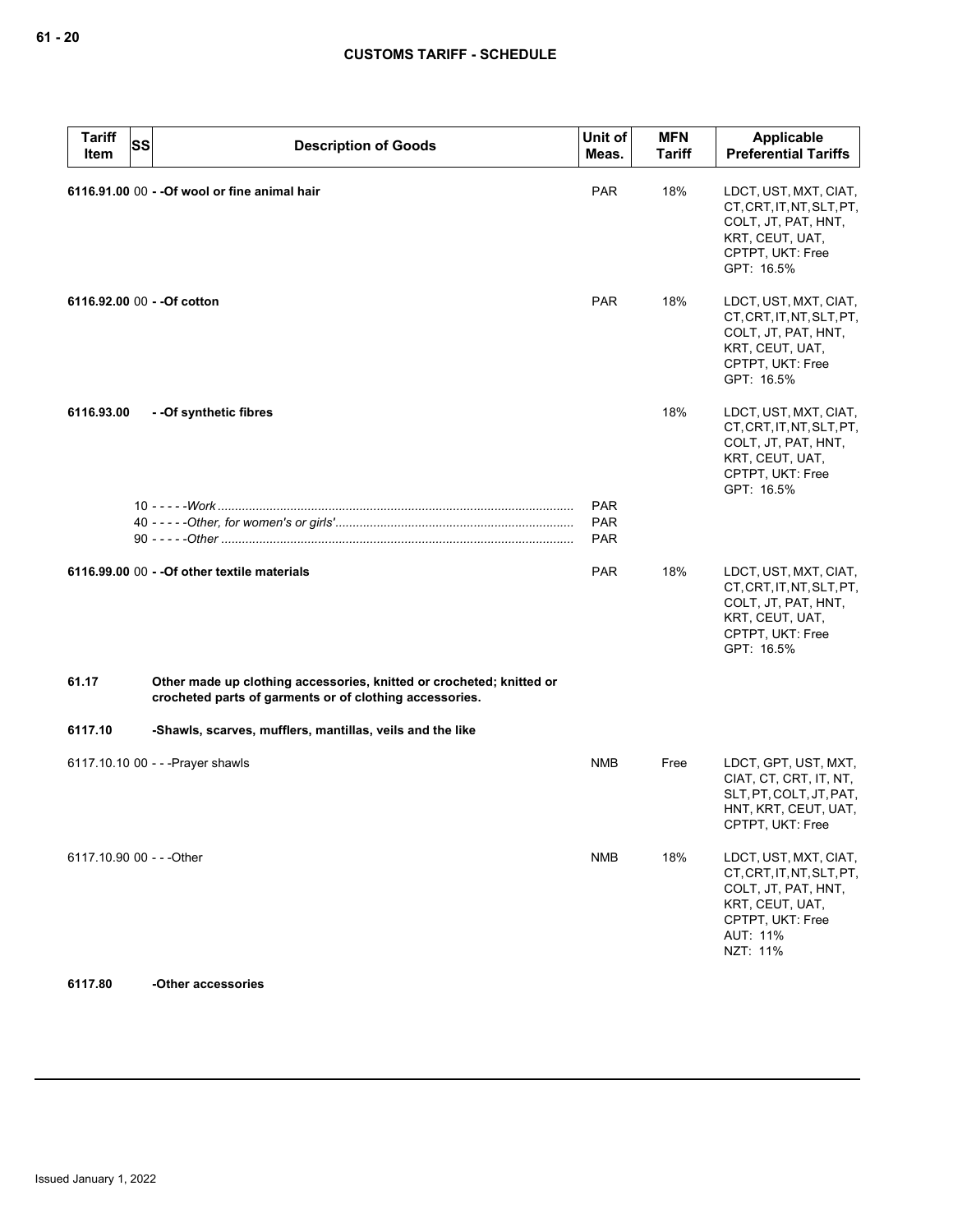| <b>Tariff</b><br>Item     | <b>SS</b><br><b>Description of Goods</b>                                                                                        | Unit of<br>Meas.                       | <b>MFN</b><br><b>Tariff</b> | Applicable<br><b>Preferential Tariffs</b>                                                                                                |
|---------------------------|---------------------------------------------------------------------------------------------------------------------------------|----------------------------------------|-----------------------------|------------------------------------------------------------------------------------------------------------------------------------------|
|                           | 6116.91.00 00 - - Of wool or fine animal hair                                                                                   | <b>PAR</b>                             | 18%                         | LDCT, UST, MXT, CIAT,<br>CT, CRT, IT, NT, SLT, PT,<br>COLT, JT, PAT, HNT,<br>KRT, CEUT, UAT,<br>CPTPT, UKT: Free<br>GPT: 16.5%           |
|                           | 6116.92.00 00 - - Of cotton                                                                                                     | <b>PAR</b>                             | 18%                         | LDCT, UST, MXT, CIAT,<br>CT, CRT, IT, NT, SLT, PT,<br>COLT, JT, PAT, HNT,<br>KRT, CEUT, UAT,<br>CPTPT, UKT: Free<br>GPT: 16.5%           |
| 6116.93.00                | - - Of synthetic fibres                                                                                                         |                                        | 18%                         | LDCT, UST, MXT, CIAT,<br>CT, CRT, IT, NT, SLT, PT,<br>COLT, JT, PAT, HNT,<br>KRT, CEUT, UAT,<br>CPTPT, UKT: Free<br>GPT: 16.5%           |
|                           |                                                                                                                                 | <b>PAR</b><br><b>PAR</b><br><b>PAR</b> |                             |                                                                                                                                          |
|                           | 6116.99.00 00 - - Of other textile materials                                                                                    | <b>PAR</b>                             | 18%                         | LDCT, UST, MXT, CIAT,<br>CT, CRT, IT, NT, SLT, PT,<br>COLT, JT, PAT, HNT,<br>KRT, CEUT, UAT,<br>CPTPT, UKT: Free<br>GPT: 16.5%           |
| 61.17                     | Other made up clothing accessories, knitted or crocheted; knitted or<br>crocheted parts of garments or of clothing accessories. |                                        |                             |                                                                                                                                          |
| 6117.10                   | -Shawls, scarves, mufflers, mantillas, veils and the like                                                                       |                                        |                             |                                                                                                                                          |
|                           | 6117.10.10 00 - - - Prayer shawls                                                                                               | <b>NMB</b>                             | Free                        | LDCT, GPT, UST, MXT,<br>CIAT, CT, CRT, IT, NT,<br>SLT, PT, COLT, JT, PAT,<br>HNT, KRT, CEUT, UAT,<br>CPTPT, UKT: Free                    |
| 6117.10.90 00 - - - Other |                                                                                                                                 | <b>NMB</b>                             | 18%                         | LDCT, UST, MXT, CIAT,<br>CT, CRT, IT, NT, SLT, PT,<br>COLT, JT, PAT, HNT,<br>KRT, CEUT, UAT,<br>CPTPT, UKT: Free<br>AUT: 11%<br>NZT: 11% |

**6117.80 -Other accessories**